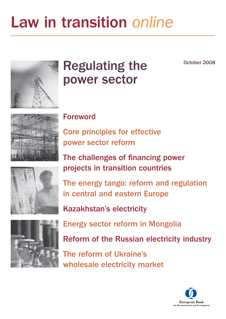# Law in transition online

October 2008



# Regulating the power sector



### [Foreword](#page-3-0)

[Core principles for effective](#page-5-0) power sector reform

The challenges of financing power projects in transition countries

The energy tango: reform and regulation in central and eastern Europe



Kazakhstan's electricity

Energy sector reform in Mongolia

Reform of the Russian electricity industry

The reform of Ukraine's wholesale electricity market

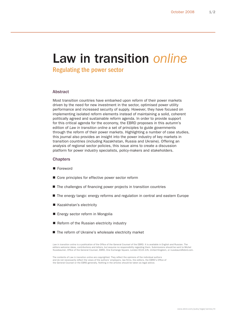### Law in transition online

Regulating the power sector

#### Abstract

Most transition countries have embarked upon reform of their power markets driven by the need for new investment in the sector, optimised power utility performance and increased security of supply. However, they have focused on implementing isolated reform elements instead of maintaining a solid, coherent politically agreed and sustainable reform agenda. In order to provide support for this critical agenda for the economy, the EBRD proposes in this autumn's edition of Law in transition online a set of principles to guide governments through the reform of their power markets. Highlighting a number of case studies, this journal also provides an insight into the power industry of key markets in transition countries (including Kazakhstan, Russia and Ukraine). Offering an analysis of regional sector policies, this issue aims to create a discussion platform for power industry specialists, policy-makers and stakeholders.

#### **Chapters**

- **Foreword**
- Core principles for effective power sector reform
- The challenges of financing power projects in transition countries
- The energy tango: energy reforms and regulation in central and eastern Europe
- Kazakhstan's electricity
- Energy sector reform in Mongolia
- Reform of the Russian electricity industry
- The reform of Ukraine's wholesale electricity market

Law in transition online is a publication of the Office of the General Counsel of the EBRD. It is available in English and Russian. The<br>editors welcome ideas, contributions and letters, but assume no responsibility regardi

The contents of Law in transition online are copyrighted. They reflect the opinions of the individual authors and do not necessarily reflect the views of the authors' employers, law firms, the editors, the EBRD's Office of the General Counsel or the EBRD generally. Nothing in the articles should be taken as legal advice.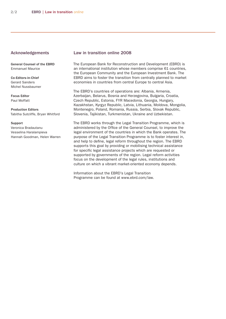#### Acknowledgements

General Counsel of the EBRD Emmanuel Maurice

Co-Editors-in-Chief Gerard Sanders Michel Nussbaumer

Focus Editor Paul Moffatt

Production Editors Tabitha Sutcliffe, Bryan Whitford

#### Support

Veronica Bradautanu Vesselina Haralampieva Hannah Goodman, Helen Warren

#### Law in transition online 2008

The European Bank for Reconstruction and Development (EBRD) is an international institution whose members comprise 61 countries, the European Community and the European Investment Bank. The EBRD aims to foster the transition from centrally planned to market economies in countries from central Europe to central Asia.

The EBRD's countries of operations are: Albania, Armenia, Azerbaijan, Belarus, Bosnia and Herzegovina, Bulgaria, Croatia, Czech Republic, Estonia, FYR Macedonia, Georgia, Hungary, Kazakhstan, Kyrgyz Republic, Latvia, Lithuania, Moldova, Mongolia, Montenegro, Poland, Romania, Russia, Serbia, Slovak Republic, Slovenia, Tajikistan, Turkmenistan, Ukraine and Uzbekistan.

The EBRD works through the Legal Transition Programme, which is administered by the Office of the General Counsel, to improve the legal environment of the countries in which the Bank operates. The purpose of the Legal Transition Programme is to foster interest in, and help to define, legal reform throughout the region. The EBRD supports this goal by providing or mobilising technical assistance for specific legal assistance projects which are requested or supported by governments of the region. Legal reform activities focus on the development of the legal rules, institutions and culture on which a vibrant market-oriented economy depends.

Information about the EBRD's Legal Transition Programme can be found at www.ebrd.com/law.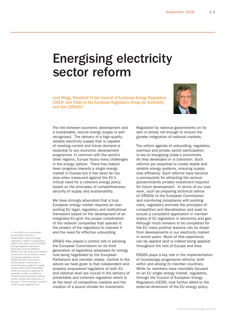### <span id="page-3-0"></span>Energising electricity sector reform

Lord Mogg, President of the Council of European Energy Regulators (CEER) and Chair of the European Regulators Group for Electricity and Gas  $(ERGEG)^1$ 



The link between economic development and a sustainable, secure energy supply is well recognised. The delivery of a high-quality, reliable electricity supply that is capable of meeting current and future demand is essential to any economic development programme. In common with the world's other regions, Europe faces many challenges in the energy sphere. There has indeed been progress towards a single energy market in Europe but it has been far too slow when measured against the EU's critical need for a coherent energy policy based on the principles of competitiveness, security of supply and sustainability.

We have strongly advocated that a truly European energy market requires an overarching EU legal, regulatory and institutional framework based on the development of an integrated EU-grid; the proper coordination of the network companies that operate it; the powers of the regulators to oversee it and the need for effective unbundling.

1. The CEER is a not-for-profit association of the EU's independent national energy regulators. CEER is a preparatory body for the work of the European Energy Regulators Group for Electricity and Gas (ERGEG) ERGEG was set up by the European Commission as its advisory body on energy regulatory issue. ERGEG advises and assists the European Commission in consolidating a single EU energy market. Both CEER and ERGEG share the common objective of creating a single, competitive, efficient and sustainable internal market for gas and electricity in Europe, in the consumer's interest. (www.energy-regulators.eu)

ERGEG has played a central role in advising the European Commission on its third generation of legislative proposals for energy now being negotiated by the European Parliament and member states. Central to the advice we have given is that independent and properly empowered regulators at both EU and national level are crucial in the delivery of predictable and coherent regulation which is at the heart of competitive markets and the creation of a sound climate for investment.

Regulation by national governments on its own is simply not enough to ensure the greater integration of national markets.

The reform agenda of unbundling, regulatory overhaul and private sector participation is key to energising today's economies, be they developed or in transition. Such reforms are essential to create stable and reliable energy systems, ensuring supplyside efficiency. Such reforms have become a prerequisite for attracting the serious (predominantly private) investment required for future development. In terms of our core work, such as preparing technical advice (in ERGEG) to the European Commission and monitoring compliance with existing rules, regulators promote the principles of competition and liberalisation and seek to ensure a consistent application in member states of EU legislation in electricity and gas. Although much remains to be completed for the EU many positive lessons can be drawn from developments in our electricity market in recent years. Much of that experience can be applied (and is indeed being applied) throughout the rest of Europe and Asia.

ERGEG plays a key role in the implementation of increasingly progressive reforms, both within and among its member countries. While its members have inevitably focused on an EU single energy market, regulators, through the Council of European Energy Regulators (CEER), look further afield to the external dimension of the EU energy policy.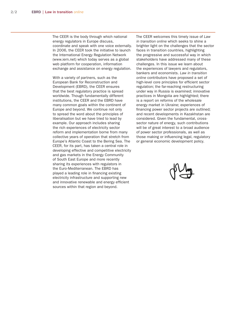The CEER is the body through which national energy regulators in Europe discuss, coordinate and speak with one voice externally. In 2006, the CEER took the initiative to launch the International Energy Regulation Network (www.iern.net) which today serves as a global web platform for cooperation, information exchange and assistance on energy regulation.

With a variety of partners, such as the European Bank for Reconstruction and Development (EBRD), the CEER ensures that the best regulatory practice is spread worldwide. Though fundamentally different institutions, the CEER and the EBRD have many common goals within the continent of Europe and beyond. We continue not only to spread the word about the principles of liberalisation but we have tried to lead by example. Our approach includes sharing the rich experiences of electricity sector reform and implementation borne from many collective years of operation that stretch from Europe's Atlantic Coast to the Bering Sea. The CEER, for its part, has taken a central role in developing effective and competitive electricity and gas markets in the Energy Community of South East Europe and more recently sharing its experiences with regulators in the Euro-Mediterranean. The EBRD has played a leading role in financing existing electricity infrastructure and supporting new and innovative renewable and energy efficient sources within that region and beyond.

The CEER welcomes this timely issue of Law in transition online which seeks to shine a brighter light on the challenges that the sector faces in transition countries, highlighting the progressive and successful way in which stakeholders have addressed many of these challenges. In this issue we learn about the experiences of lawyers and regulators, bankers and economists. Law in transition online contributors have proposed a set of high-level core principles for efficient sector regulation; the far-reaching restructuring under way in Russia is examined; innovative practices in Mongolia are highlighted; there is a report on reforms of the wholesale energy market in Ukraine; experiences of financing power sector projects are outlined; and recent developments in Kazakhstan are considered. Given the fundamental, crosssector nature of energy, such contributions will be of great interest to a broad audience of power sector professionals, as well as those making or influencing legal, regulatory or general economic development policy.

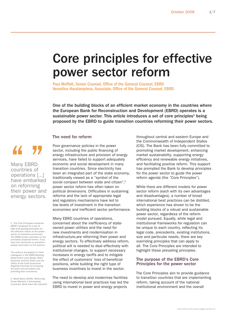### <span id="page-5-0"></span>Core principles for effective power sector reform

Paul Moffatt, Senior Counsel, Office of the General Counsel, EBRD Vesselina Haralampieva, Associate, Office of the General Counsel, EBRD

One of the building blocks of an efficient market economy in the countries where the European Bank for Reconstruction and Development (EBRD) operates is a sustainable power sector. This article introduces a set of core principles<sup>1</sup> being proposed by the EBRD to guide transition countries reforming their power sectors.

#### The need for reform

44

Many EBRD countries of operations [...] have embarked on reforming their power and energy sectors.

1. The Core Principles comprise EBRD's proposal for a set of high-level guiding principles for the effective reform of the power sector of transition economies. The EBRD invites comment on the principles proposed herein. If you have any comments or questions please send them to the authors.

The authors are grateful to their colleagues in the EBRD Banking Department Louis Borgo, Milko Kovachev and Eric Peter and the Office of the Chief Economist Zbigniew Kominek for reviewing the draft core principles and providing their comments.

2. World Bank (2006), Reforming Power Markets in Developing Countries: What Have We Learned? Poor governance policies in the power sector, including the public financing of energy infrastructure and provision of energy services, have failed to support adequately economic and social development in many transition countries. Since electricity has been an integrated part of the state economy, traditionally viewed as a "symbol of the social compact between state and citizen",<sup>2</sup> power sector reform has often taken on political dimensions. Difficulties in sustaining reforms and the lack of appropriate legal and regulatory mechanisms have led to low levels of investment in the transition economies and inefficient sector performance.

Many EBRD countries of operations, concerned about the inefficiency of stateowned power utilities and the need for new investments and modernisation in infrastructure,are reforming their power and energy sectors. To effectively address reform, political will is needed to deal effectively with institutional changes, to support necessary increases in energy tariffs and to mitigate the effect of customers' loss of beneficial positions, while building the right type of business incentives to invest in the sector.

The need to develop and modernise facilities using international best practices has led the EBRD to invest in power and energy projects

throughout central and eastern Europe and the Commonwealth of Independent States (CIS). The Bank has been fully committed to promoting market development, enhancing market sustainability, supporting energy efficiency and renewable energy initiatives, and facilitating positive reform. This support has prompted the Bank to develop principles for the power sector to guide the power reform agenda (the "Core Principles").

While there are different models for power sector reform (each with its own advantages and disadvantages), a number of broad international best practices can be distilled, which experience has shown to be the building blocks of a robust and sustainable power sector, regardless of the reform model pursued. Equally, while legal and institutional frameworks for regulation can be unique to each country, reflecting its legal code, precedents, existing institutions, size and particular needs, there are key overriding principles that can apply to all. The Core Principles are intended to highlight these prevailing principles.

#### The purpose of the EBRD's Core Principles for the power sector

The Core Principles aim to provide guidance to transition countries that are implementing reform, taking account of the national institutional environment and the overall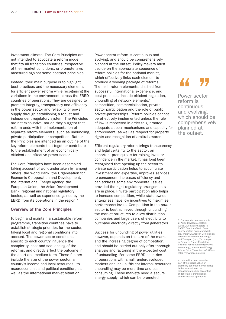investment climate. The Core Principles are not intended to advocate a reform model that fits all transition countries irrespective of their market conditions, or promote laws measured against some abstract principles.

Instead, their main purpose is to highlight best practices and the necessary elements for efficient power reform while recognising the variations in the environment across the EBRD countries of operations. They are designed to promote integrity, transparency and efficiency in the power sector and reliability of power supply through establishing a robust and independent regulatory system. The Principles are not exhaustive, nor do they suggest that reform ends with the implementation of separate reform elements, such as unbundling, private participation or competition. Rather, the Principles are intended as an outline of the key reform elements that together contribute to the establishment of an economically efficient and effective power sector.

The Core Principles have been assembled taking account of work undertaken by, among others, the World Bank, the Organisation for Economic Co-operation and Development, the International Energy Agency, the European Union, the Asian Development Bank, regional and national regulatory bodies, as well as experience gained by the EBRD from its operations in the region.3

#### Overview of the Core Principles

To begin and maintain a sustainable reform programme, transition countries have to establish strategic priorities for the sector, taking local and regional conditions into account. The power sector conditions specific to each country influence the complexity, cost and sequencing of the reforms, and directly affect the outcome in the short and medium term. These factors include the size of the power sector, a country's income and local resources, its macroeconomic and political condition, as well as the international market situation.

Power sector reform is continuous and evolving, and should be comprehensively planned at the outset. Policy-makers must decide on the appropriate sequence of reform policies for the national market, which effectively links each element to produce a working package of reforms. The main reform elements, distilled from successful international experience, and best practices, include efficient regulation, unbundling of network elements,<sup>4</sup> competition, commercialisation, private sector participation and the role of public private-partnerships. Reform policies cannot be effectively implemented unless the rule of law is respected in order to guarantee adequate appeal mechanisms and capacity for enforcement, as well as respect for property rights and recognition of arbitral awards.

Efficient regulatory reform brings transparency and legal certainty to the sector, an important prerequisite for raising investor confidence in the market. It has long been recognised that opening up the sector to private participation helps to accumulate investment and expertise, improves services to consumers, increases efficiency and can address some environmental issues, provided the right regulatory arrangements are in place. Private participation also helps to increase competition, while state-owned enterprises have low incentives to maximise performance levels. Competition in the power sector is best achieved through unbundling the market structures to allow distribution companies and large users of electricity to purchase electricity directly from generators.

Success for unbundling of power utilities, however, depends on the size of the market and the increasing degree of competition, and should be carried out only after thorough analysis and factoring in the expected cost of unbundling. For some EBRD countries of operations with small, underdeveloped markets and lack sufficient internal resources. unbundling may be more time and costconsuming. These markets need a secure energy supply, which can be promoted

### 44 77

Power sector reform is continuous and evolving, which should be comprehensively planned at the outset.

3. For example, see supra note 2; Asian Development Bank (2005), Electricity Sectors in CAREC Countries;World Bank energy section (www.worldbank. org/energy), European Commission Directorate - General for Energy and Transport (http://ec.europa. eu/energy); Energy Regulators Regional Association (http://www. erranet.org); International Energy Agency (http://www.iea.org); Ofgem (http://www.ofgem.gov.uk).

4. Unbundling is an essential part of the liberalisation of electricity generation. Unbundling is the separation of the management and/or accounting of generation, transmission and distribution operations.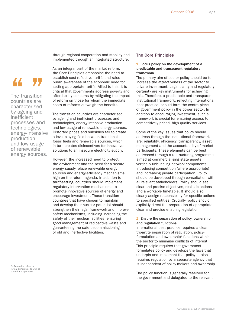### 44 Y.

The transition countries are characterised by ageing and inefficient processes and technologies, energy-intensive production and low usage of renewable energy sources.

through regional cooperation and stability and implemented through an integrated structure.

As an integral part of the market reform, the Core Principles emphasise the need to establish cost-reflective tariffs and raise public awareness of the economic need for setting appropriate tariffs. Allied to this, it is critical that governments address poverty and affordability concerns by mitigating the impact of reform on those for whom the immediate costs of reforms outweigh the benefits.

The transition countries are characterised by ageing and inefficient processes and technologies, energy-intensive production and low usage of renewable energy sources. Distorted prices and subsidies fail to create a level playing field between traditional fossil fuels and renewable sources, which in turn creates disincentives for innovative solutions to an insecure electricity supply.

However, the increased need to protect the environment and the need for a secure energy supply, place renewable energy sources and energy-efficiency mechanisms high on the reform agenda. In addition to tariff-setting, countries should implement regulatory intervention mechanisms to promote innovative sources of energy and encourage investment. Those transition countries that have chosen to maintain and develop their nuclear potential should strengthen their legal framework and improve safety mechanisms, including increasing the safety of their nuclear facilities, ensuring good management of radioactive waste and guaranteeing the safe decommissioning of old and ineffective facilities.

5. Ownership refers to formal ownership, as well as control and operation.

#### The Core Principles

#### 1. Focus policy on the development of a predictable and transparent regulatory framework

The primary aim of sector policy should be to increase the attractiveness of the sector to private investment. Legal clarity and regulatory certainty are key instruments for achieving this. Therefore, a predictable and transparent institutional framework, reflecting international best practice, should form the centre-piece of government policy in the power sector. In addition to encouraging investment, such a framework is crucial for ensuring access to competitively priced, high-quality services.

Some of the key issues that policy should address through the institutional framework are: reliability, efficiency, transparency, asset management and the accountability of market participants. These elements can be best addressed through a restructuring programme aimed at commercialising state assets, vertically unbundling network components, introducing competition (where appropriate) and increasing private participation. Policy should be developed through consultation with all relevant stakeholders. Policy should set clear and precise objectives, realistic actions and a workable timetable. It should also clearly assign responsibility for specific actions to specified entities. Crucially, policy should explicitly direct the preparation of appropriate, clear and precise enabling legislation.

#### 2. Ensure the separation of policy, ownership and regulation functions

International best practice requires a clear tripartite separation of regulation, policyformulation and ownership<sup>5</sup> functions within the sector to minimise conflicts of interest. This principle requires that government formulates policy and develops the laws that underpin and implement that policy. It also requires regulation by a separate agency that is independent of policy-makers and ownership.

The policy function is generally reserved for the government and delegated to the relevant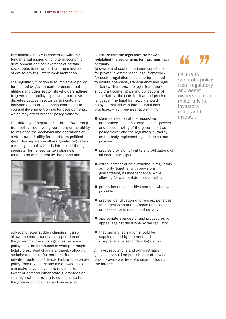line ministry. Policy is concerned with the fundamental issues of long-term economic development and achievement of certain social objectives, rather than the minutiae of day-to-day regulatory implementation.

The regulatory function is to implement policy formulated by government; to ensure that utilities and other sector stakeholders adhere to government policy objectives; to resolve disputes between sector participants and between operators and consumers; and to counsel government on sector developments, which may affect broader policy matters.

The third leg of separation – that of ownership from policy – deprives government of the ability to influence the decisions and operations of a state-owned utility for short-term political gain. This separation allows greater regulatory certainty, as policy that is introduced through separate, formalised written channels tends to be more carefully developed and



subject to fewer sudden changes. It also allows the more transparent operation of the government and its agencies because policy must be introduced in writing, through legally prescribed channels, thereby allowing stakeholder input. Furthermore, it enhances private investor confidence. Failure to separate policy from regulatory and asset ownership can make private investors reluctant to invest or demand either state guarantees or very high rates of return to compensate for the greater political risk and uncertainty.

#### 3. Ensure that the legislative framework regulating the sector aims for maximum legal certainty

To create and sustain optimum conditions for private investment the legal framework for sector regulation should be formulated to ensure openness, transparency and legal certainty. Therefore, the legal framework should articulate rights and obligations of all market participants in clear and precise language. The legal framework should be synchronised with international best practices, which requires, at a minimum:

- clear delineation of the respective authorities: functions, enforcement powers and accountability of the government as policy-maker and the regulatory authority as the body implementing such rules and policies
- precise provision of rights and obligations of all sector participants п
- establishment of an autonomous regulatory authority, together with provisions guaranteeing its independence, while allowing for appropriate accountability
- promotion of competitive markets wherever possible
- precise identification of offences, penalties for commission of an offence and clear processes for imposition of penalty  $\blacksquare$
- appropriate avenues of and procedures for appeal against decisions by the regulator п
- that primary legislation should be supplemented by coherent and comprehensive secondary legislation.

All laws, regulations and administrative guidance should be published or otherwise publicly available, free of charge, including on the internet.

Failure to Failure to<br>
Separate policy<br>
from regulatory from regulatory and asset ownership can make private investors reluctant to invest...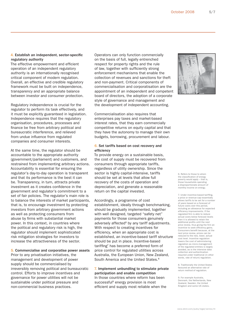#### 4. Establish an independent, sector-specific regulatory authority

The effective empowerment and efficient operation of an independent regulatory authority is an internationally recognised critical component of modern regulation. Overall, an effective and credible regulatory framework must be built on independence, transparency and an appropriate balance between investor and consumer protection.

Regulatory independence is crucial for the regulator to perform its task effectively, and it must be explicitly guaranteed in legislation. Independence requires that the regulatory organisation, procedures, processes and finance be free from arbitrary political and bureaucratic interference, and relieved from undue influence from regulated companies and consumer interests.

At the same time, the regulator should be accountable to the appropriate authority (government/parliament) and customers, and restrained from implementing arbitrary actions. Accountability is essential for ensuring the regulator's day-to-day operation is transparent and that its performance is the best it can be. Transparency, in turn, attracts private investment as it creates confidence in the government and regulator's commitment to a set of fair policies. The regulator's main role is to balance the interests of market participants, that is, to encourage investment by protecting investors from arbitrary government actions as well as protecting consumers from abuse by firms with substantial market power. In this context, in countries where the political and regulatory risk is high, the regulator should implement sophisticated risk mitigation strategies for investors to increase the attractiveness of the sector.

#### 5. Commercialise and corporatise power assets

Prior to any privatisation initiatives, the management and development of power supply should be commercialised by irreversibly removing political and bureaucratic control. Efforts to improve incentives and governance for power utilities will not be sustainable under political pressure and non-commercial business practices.

Operators can only function commercially on the basis of full, legally entrenched respect for property rights and the rule of law, together with sufficiently strong enforcement mechanisms that enable the collection of revenues and sanctions for theft and non-payment. Critical components of commercialisation and corporatisation are the appointment of an independent and competent board of directors, the adoption of a corporate style of governance and management and the development of independent accounting.

Commercialisation also requires that enterprises pay taxes and market-based interest rates, that they earn commercially competitive returns on equity capital and that they have the autonomy to manage their own budgets, borrowing, procurement and labour.

#### 6. Set tariffs based on cost recovery and efficiency

To provide energy on a sustainable basis, the cost of supply must be recovered from consumers through appropriate tariffs, regardless of utility ownership. Since the sector is highly capital-intensive, tariffs should be set at levels that allow full recovery of the costs of operation and depreciation, and generate a reasonable return on the capital invested.

Accordingly, a programme of cost establishment, ideally through benchmarking, should be gradually implemented, together with well designed, targeted "safety net" payments for those consumers genuinely adversely affected<sup>6</sup> by any tariff adjustments. With respect to creating incentives for efficiency, when an appropriate cost is established, an incentive-based tariff structure should be put in place. Incentive-based tariffing<sup> $7$ </sup> has become a preferred form of price control for regulated utilities across Australia, the European Union, New Zealand, South America and the United States.<sup>8</sup>

#### 7. Implement unbundling to stimulate private participation and enable competition In those countries where reform has been

successful<sup>9</sup> energy provision is most efficient and supply most reliable when the



6. Refers to those to whom the classification of energy poverty would apply – that is, those households spending a disproportionate amount of monthly income on energy.

7. Under incentive-based tariffing. a price or revenue-cap essentially allows tariffs to be set for a number of years based on a forecast of future costs over this period, including an allowance for expected efficiency improvements. If the<br>regulated firm is able to reduce actual costs below forecast levels then it is allowed to retain the additional profits until the next price review, thus giving the firm an prise terment, mas gring are mines<br>incentive to seek efficiency gains. Consumers benefit because, at the next price review, prices can be reduced to the new, lower, actual cost level. Incentive regulation lowers the cost of administering regulation as micro-management of the regulated entities is largely avoided, as is the intensive data collection and authentication required under traditional (in other words, rate of return) regulation.

8. Traditionally the United States favoured an alternative rate of return method of regulation.

9. For example Australia, Denmark, the Netherlands, New Zealand, Sweden, the United Kingdom and some US states.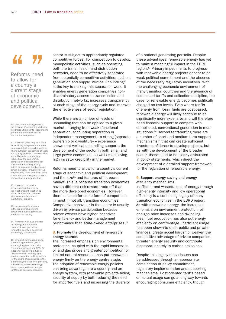## 44 Y.

Reforms need to allow for a country's current stage of economic and political development...

10. Vertical unbundling refers to the process of separating vertically integrated utilities into independent generation, transmission and distribution companies.

11. However, there may be a case for vertically integrated structures to remain intact in smaller systems where sufficient economies of scale are lacking, provided these entities are sufficiently commercially focused. At the same time, competition introduced through horizontal unbundling is only suited to large and middle-income power markets. Through effective neighbouring trade practices, small power markets may group to foster competition among operators.

12. However, the publicprivate partnership may be the most efficient functioning model for transition markets with weak regulatory and institutional capacity.

13. Key renewable sources in the region include hydro power, wind-based generation and biomass fuelling.

14. However, with ever-cheaper technology and the recent rises in oil and gas prices, renewable energy is becoming increasingly competitive.

15. Establishing standard power purchase agreements (PPAs); ensuring long-term electricity generation licences and PPAs for independent power producers; favourable tariff-setting; light-handed regulation; setting targets for the share of renewables in the electricity generation mix; providing subsidies to renewable energy based power systems; feed-in tariffs; and quota mechanisms.

sector is subject to appropriately regulated competitive forces. For competition to develop, monopolistic activities, such as operating both the transmission and distribution networks, need to be effectively separated from potentially competitive activities, such as generation and supply. Vertical unbundling<sup>10</sup> is the key to making this separation work. It enables energy generation companies nondiscriminatory access to transmission and distribution networks, increases transparency at each stage of the energy cycle and improves the effectiveness of sector regulation.

While there are a number of levels of unbundling that can be applied to a given market – ranging from weak (functional separation, accounting separation or independent management) to strong (separate ownership or divestiture) – experience shows that vertical unbundling supports the development of the sector in both small and large power economies, as well as achieving high investor credibility in the market.

Reforms need to allow for a country's current stage of economic and political development and the size $11$  and features of its power market. This is because transition economies have a different risk-reward trade-off than the more developed economies. However, there is scope for some form of competition in most, if not all, transition economies. Competitive behaviour in the sector is usually driven by private participation because private owners have higher incentives for efficiency and better management performance than state-owned enterprises.12

#### 8. Promote the development of renewable energy sources

The increased emphasis on environmental protection, coupled with the rapid increase in oil and gas prices and greater competition for limited natural resources, has put renewable energy firmly on the energy centre-stage. The adoption of renewable energy policies can bring advantages to a country and an energy system, with renewable projects aiding security of supply by both reducing the need for imported fuels and increasing the diversity

of a national generating portfolio. Despite these advantages, renewable energy has yet to make a meaningful impact in the EBRD region.13 Primary impediments to progress with renewable energy projects appear to be weak political commitment and the absence of the necessary regulatory incentives. With the challenging economic environment of many transition countries and the absence of cost-based tariffs and collection discipline, the case for renewable energy becomes politically charged on two levels. Even where tariffs of energy from fossil fuels are cost-based, renewable energy will likely continue to be significantly more expensive and will therefore need financial support to compete with established, conventional generation in most situations.<sup>14</sup> Beyond tariff-setting there are a number of short and medium-term support  $mechanisms<sup>15</sup>$  that can create sufficient investor confidence to develop projects, but as with the development of the broader sector, these need to be clearly articulated in policy statements, which direct the development of a detailed support framework for the regulation of renewable energy.

#### 9. Support energy-saving and energy efficiency mechanisms

Inefficient and wasteful use of energy through high-energy intensity and low operational efficiency is a continuing legacy of many transition economies in the EBRD region. As with renewable energy, the increased emphasis on environment protection, oil and gas price increases and dwindling fossil fuel production has also put energy efficiency on centre-stage. Inefficient usage has been shown to drain public and private finances, create social hardship, weaken the competitive advantage of private companies, threaten energy security and contribute disproportionately to carbon emissions.

Despite this legacy these issues can be addressed through an appropriate combination of policy commitment, regulatory implementation and supporting mechanisms. Cost-oriented tariffs based on actual usage can go a long way towards encouraging consumer efficiency, though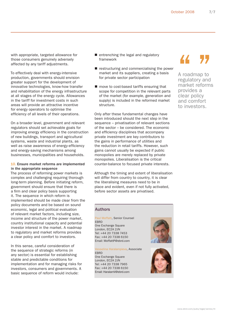with appropriate, targeted allowance for those consumers genuinely adversely affected by any tariff adjustments.

To effectively deal with energy-intensive production, governments should envision greater support for the development of innovative technologies, know-how transfer and rehabilitation of the energy infrastructure at all stages of the energy cycle. Allowances in the tariff for investment costs in such areas will provide an attractive incentive for energy operators to optimise the efficiency of all levels of their operations.

On a broader level, government and relevant regulators should set achievable goals for improving energy efficiency in the construction of new buildings, transport and agricultural systems, waste and industrial plants, as well as raise awareness of energy-efficiency and energy-saving mechanisms among businesses, municipalities and households.

#### 10. Ensure market reforms are implemented in the appropriate sequence

The process of reforming power markets is complex and challenging requiring thorough long-term planning. Before initiating reform, government should ensure that there is a firm and clear policy basis supporting it. The sequence in which reform is implemented should be made clear from the policy documents and be based on sound economic, legal and political evaluation of relevant market factors, including size, income and structure of the power market, country institutional capacity and potential investor interest in the market. A roadmap to regulatory and market reforms provides a clear policy and comfort to investors.

In this sense, careful consideration of the sequence of strategic reforms (in any sector) is essential for establishing stable and predictable conditions for implementation and for managing risks for investors, consumers and governments. A basic sequence of reform would include:

- $\blacksquare$  entrenching the legal and regulatory framework
- $\blacksquare$  restructuring and commercialising the power market and its suppliers, creating a basis for private sector participation
- move to cost-based tariffs ensuring that scope for competition in the relevant parts of the market (for example, generation and supply) is included in the reformed market structure.

Only after these fundamental changes have been introduced should the next step in the sequence – privatisation of relevant sections of the sector – be considered. The economic and efficiency disciplines that accompany private investment are key contributors to the gains in performance of utilities and the reduction in retail tariffs. However, such gains cannot usually be expected if public monopolies are merely replaced by private monopolies. Liberalisation is the critical counter-balance to focused private interests.

Although the timing and extent of liberalisation will differ from country to country, it is clear the liberalising measures need to be in place and evident, even if not fully activated, before sector assets are privatised.

A roadmap to A roadmap to<br>A roadmap to<br>market reforms market reforms provides a clear policy and comfort to investors.

#### Authors

Paul Moffatt, Senior Counsel EBRD One Exchange Square London, EC2A 2JN Tel: +44 20 7338 7453 Fax: +44 20 7338 6150 Email: MoffattP@ebrd.com

Vesselina Haralampieva, Associate **FRRD** One Exchange Square London, EC2A 2JN Tel: +44 20 7338 7965 Fax: +44 20 7338 6150

Email: HaralamV@ebrd.com



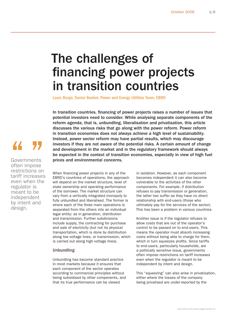### The challenges of financing power projects in transition countries

Louis Borgo, Senior Banker, Power and Energy Utilities Team, EBRD

In transition countries, financing of power projects raises a number of issues that potential investors need to consider. While analysing separate components of the reform agenda, that is, unbundling, liberalisation and privatisation, this article discusses the various risks that go along with the power reform. Power reform in transition economies does not always achieve a high level of sustainability. Instead, power sector reform may have partial results, which may discourage investors if they are not aware of the potential risks. A certain amount of change and development in the market and in the regulatory framework should always be expected in the context of transition economies, especially in view of high fuel prices and environmental concerns.

# **44 77**<br>Governments

often impose restrictions on tariff increases even when the regulator is meant to be independent by intent and design.

When financing power projects in any of the EBRD's countries of operations, the approach will depend on the market structure, level of state ownership and operating performance of the borrower. The market structure can vary from a vertically integrated monopoly to fully unbundled and liberalised. The former is where each of the three main operations is separated from the others into an individual legal entity: as in generation, distribution and transmission. Further subdivisions include supply, the contracting for purchase and sale of electricity (but not its physical transportation, which is done by distribution along low voltage lines, or transmission, which is carried out along high voltage lines).

#### Unbundling

Unbundling has become standard practice in most markets because it ensures that each component of the sector operates according to commercial principles without being subsidised by other components, and that its true performance can be viewed

in isolation. However, as each component becomes independent it can also become vulnerable to the activities of the other components. For example, if distribution refuses to pay transmission or generation, the latter two suffer as they have no direct relationship with end-users (those who ultimately pay for the services of the sector). This has been a problem in various countries.

Another issue is if the regulator refuses to allow costs that are out of the operator's control to be passed on to end-users. This means the operator must absorb increasing costs without being able to charge for them, which in turn squeezes profits. Since tariffs to end-users, particularly households, are a politically sensitive issue, governments often impose restrictions on tariff increases even when the regulator is meant to be independent by intent and design.

This "squeezing" can also arise in privatisation, either where the losses of the company being privatised are under-reported by the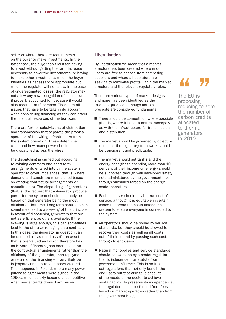seller or where there are requirements on the buyer to make investments. In the latter case, the buyer can find itself having to invest without getting the tariff increase necessary to cover the investments, or having to make other investments which the buyer identifies as necessary or appropriate but which the regulator will not allow. In the case of underestimated losses, the regulator may not allow any new recognition of losses even if properly accounted for, because it would also mean a tariff increase. These are all issues that have to be taken into account when considering financing as they can affect the financial resources of the borrower.

There are further subdivisions of distribution and transmission that separate the physical operation of the wiring infrastructure from the system operation. These determine when and how much power should be dispatched across the wires.

The dispatching is carried out according to existing contracts and short-term arrangements entered into by the system operator to cover imbalances (that is, where demand and supply are mismatched based on existing contractual arrangements or commitments). The dispatching of generators (that is, the request that a generator produce power for the system) should ultimately be based on that generator being the most efficient at that time. Long-term contracts can sometimes lead to a skewing of this principle in favour of dispatching generators that are not as efficient as others available. If the skewing is large enough, this can sometimes lead to the off-taker reneging on a contract. In this case, the generator in question can be deemed a "stranded asset", an asset that is overvalued and which therefore has no buyers. If financing has been based on the contractual arrangements rather than the efficiency of the generator, then repayment or return of the financing will very likely be in jeopardy and a stranded asset created. This happened in Poland, where many power purchase agreements were signed in the 1990s, which quickly became uncompetitive when new entrants drove down prices.

#### Liberalisation

By liberalisation we mean that a market structure has been created where endusers are free to choose from competing suppliers and where all operators are seeking to maximise profits within the market structure and the relevant regulatory rules.

There are various types of market designs and none has been identified as the true best practice, although certain precepts are considered fundamental.

- There should be competition where possible (that is, where it is not a natural monopoly, as with the infrastructure for transmission and distribution).
- The market should be governed by objective rules and the regulatory framework should be transparent and predictable.
- The market should set tariffs and the energy poor (those spending more than 10 per cent of their income on energy) should be supported through well developed safety nets administered by the government, not through subsidies forced on the energy sector operators.
- Each end-user should pay its true cost of service, although it is equitable in certain cases to spread the costs across the system to ensure everyone is connected to the system.
- All operators should be bound by service standards, but they should be allowed to recover their costs as well as all costs out of their control by passing such costs through to end-users.
- Natural monopolies and service standards should be overseen by a sector regulator that is independent by statute from government influence. This is so it can set regulations that not only benefit the end-users but that also take account of the needs of the sector to achieve sustainability. To preserve its independence, the regulator should be funded from fees levied on market operators rather than from the government budget.

### 44 77

The EU is proposing reducing to zero the number of carbon credits allocated to thermal generators in 2012.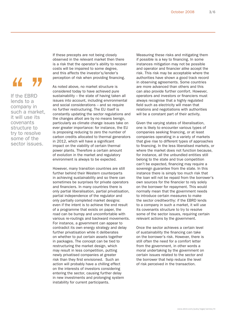### 44 77

If the EBRD lends to a company in such a market, it will use its covenants structure to try to resolve some of the sector issues.

If these precepts are not being closely observed in the relevant market then there is a risk that the operator's ability to recover costs will be impaired to some degree, and this affects the investor's/lender's perception of risk when providing financing.

As noted above, no market structure is considered today to have achieved pure sustainability – the state of having taken all issues into account, including environmental and social considerations – and so require no further restructuring. The EU itself is constantly updating the sector regulations and the changes afoot are by no means benign, particularly as climate change issues take on ever greater importance: for instance, the EU is proposing reducing to zero the number of carbon credits allocated to thermal generators in 2012, which will have a significant impact on the viability of certain thermal power plants. Therefore a certain amount of evolution in the market and regulatory environment is always to be expected.

However, many transition countries are still further behind their Western counterparts in achieving sustainability and so there can sometimes be surprises for private operators and financiers. In many countries there is only partial liberalisation, partial privatisation, partial independence of the regulator and only partially completed market designs: even if the intent is to achieve the end result of a programme that exists on paper, the road can be bumpy and uncomfortable with various re-routings and backward movements. For instance, a government can appear to contradict its own energy strategy and delay further privatisation while it deliberates on whether to put certain assets together in packages. The concept can be tied to restructuring the market design, which may result in less competition, putting newly privatised companies at greater risk than they first envisioned. Such an action will probably have a chilling effect on the interests of investors considering entering the sector, causing further delay in new investments and prolonging system instability for current participants.

Measuring these risks and mitigating them if possible is a key to financing. In some instances mitigation may not be possible and operator and financier alike accept the risk. This risk may be acceptable where the authorities have shown a good track record in observing agreements. Some countries are more advanced than others and this can also provide further comfort. However, operators and investors or financiers must always recognise that a highly regulated field such as electricity will mean that relations and negotiations with authorities will be a constant part of their activity.

Given the varying states of liberalisation, one is likely to encounter various types of companies seeking financing, or at least companies operating in a variety of markets that give rise to different types of approaches to financing. In the less liberalised markets, or where the market does not function because, for instance, all the unbundled entities still belong to the state and true competition can't be expected, financing may require a sovereign guarantee from the state. In this instance there is simply too much risk that the loan will not be repaid from the borrower's own sources for the financier to rely solely on the borrower for repayment. This would normally mean that the government needs to introduce certain measures to make the sector creditworthy: if the EBRD lends to a company in such a market, it will use its covenants structure to try to resolve some of the sector issues, requiring certain relevant actions by the government.

Once the sector achieves a certain level of sustainability the financing can take on the borrower's risk. However, there is still often the need for a comfort letter from the government, in other words a moral undertaking by the government on certain issues related to the sector and the borrower that help reduce the level of risk perceived in the transaction.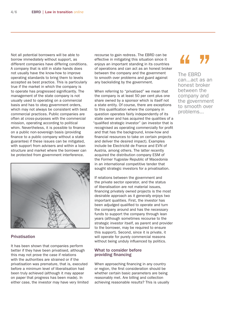Not all potential borrowers will be able to borrow immediately without support, as different companies have differing conditions. A company that is still in state hands does not usually have the know-how to improve operating standards to bring them to levels accepted as best practice. This is particularly true if the market in which the company is to operate has progressed significantly. The management of the state company is not usually used to operating on a commercial basis and has to obey government orders, which may not always be consistent with best commercial practices. Public companies are often at cross-purposes with the commercial mission, operating according to political whim. Nevertheless, it is possible to finance on a public non-sovereign basis (providing finance to a public company without a state guarantee) if these issues can be mitigated, with support from advisers and within a loan structure and market where the borrower can be protected from government interference.



#### **Privatisation**

It has been shown that companies perform better if they have been privatised, although this may not prove the case if relations with the authorities are strained or if the privatisation was premature, that is, executed before a minimum level of liberalisation had been truly achieved (although it may appear on paper that progress has been made). In either case, the investor may have very limited

recourse to gain redress. The EBRD can be effective in mitigating this situation since it enjoys an important standing in its countries of operations and can act as an honest broker between the company and the government to smooth over problems and guard against any backsliding by the government.

When referring to "privatised" we mean that the company is at least 50 per cent plus one share owned by a sponsor which is itself not a state entity. Of course, there are exceptions to this qualification where the company in question operates fairly independently of its state owner and has acquired the qualities of a "qualified strategic investor" (an investor that is recognised as operating commercially for profit and that has the background, know-how and financial resources to take on certain projects and deliver the desired impact). Examples include be Electricité de France and EVN of Austria, among others. The latter recently acquired the distribution company ESM of the Former Yugoslav Republic of Macedonia in an international competitive tender that sought strategic investors for a privatisation.

If relations between the government and the private sector operator, and the status of liberalisation are not material issues, financing privately owned projects is the most desirable approach as it generally enjoys two important qualities. First, the investor has been adjudged qualified to operate and turn the company around and has the necessary funds to support the company through lean years (although sometimes recourse to the strategic investor itself, as parent and provider to the borrower, may be required to ensure this support). Second, since it is private, it will operate for purely commercial reasons without being unduly influenced by politics.

#### What to consider before providing financing

When approaching financing in any country or region, the first consideration should be whether certain basic parameters are being reasonably met. Are billing and collection achieving reasonable results? This is usually

### 44 77

The EBRD can...act as an honest broker between the company and the government to smooth over problems...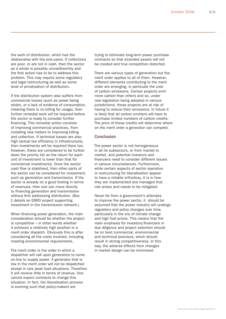the work of distribution, which has the relationship with the end-users. If collections are poor, or are not in cash, then the sector as a whole is possibly uncreditworthy and the first action has to be to address this problem. This may require some regulatory and legal restructuring as well as some level of privatisation of distribution.

If the distribution system also suffers from commercial losses (such as power being stolen, or a lack of evidence of consumption, meaning there is no billing for usage), then further remedial work will be required before the sector is ready to consider further financing. This remedial action consists of improving commercial practices, from installing new meters to improving billing and collection. If technical losses are also high (actual low efficiency in infrastructure), then investments will be required there too. However, these are considered to be further down the priority list as the return for each unit of investment is lower than that for commercial investments. Once the sector cash flow is stabilised, then other parts of the sector can be considered for investment, such as generation and transmission. If the sector is already on a good footing in terms of revenues, then one can move directly to financing generation and transmission without first addressing distribution. (Box 1 details an EBRD project supporting investment in the transmission network.)

When financing power generation, the main consideration should be whether the project is competitive – in other words whether it achieves a relatively high position in a merit order dispatch. Obviously this is after considering all the costs involved, including meeting environmental requirements.

The merit order is the order in which a dispatcher will call upon generators to come on-line to supply power. A generator that is low in the merit order will not be dispatched except in rare peak load situations. Therefore it will receive little in terms of revenue. One cannot expect contracts to change this situation. In fact, the liberalisation process is evolving such that policy-makers are

trying to eliminate long-term power purchase contracts so that stranded assets will not be created and true competition distorted.

There are various types of generation but the merit order applies to all of them. However, different elements contributing to the merit order are emerging, in particular the cost of carbon emissions. Certain projects emit more carbon than others and so, under new legislation being adopted in various jurisdictions, these projects are at risk of having to reduce their emissions. In future it is likely that all carbon emitters will have to purchase limited numbers of carbon credits. The price of these credits will determine where on the merit order a generator can compete.

#### Conclusion

The power sector is not homogeneous in all its subsectors, or from market to market, and potential investors and financiers need to consider different issues in various circumstances. Furthermore, while certain aspects of sector operation or restructuring for liberalisation appear to have a reliable orthodoxy, it is in how they are implemented and managed that risk arises and needs to be mitigated.

Never far from a government's attempts to improve the power sector, it should be assumed that the power industry will undergo regulatory and policy changes over time, particularly in the era of climate change and high fuel prices. This means that the main emphasis for investors/financiers in due diligence and project selection should be on best commercial, environmental and technical practices, which should result in strong competitiveness. In this way, the adverse effects from changes in market design can be minimised.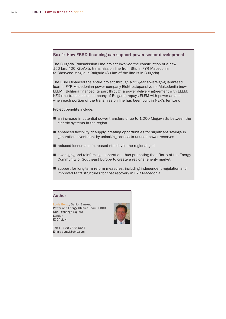### Box 1: How EBRD financing can support power sector development

The Bulgaria Transmission Line project involved the construction of a new 150 km, 400 KiloVolts transmission line from Stip in FYR Macedonia to Chervena Mogila in Bulgaria (80 km of the line is in Bulgaria).

The EBRD financed the entire project through a 15-year sovereign-guaranteed loan to FYR Macedonian power company Elektrostopanstvo na Makedonija (now ELEM). Bulgaria financed its part through a power delivery agreement with ELEM: NEK (the transmission company of Bulgaria) repays ELEM with power as and when each portion of the transmission line has been built in NEK's territory.

#### Project benefits include:

- an increase in potential power transfers of up to 1,000 Megawatts between the electric systems in the region
- $\blacksquare$  enhanced flexibility of supply, creating opportunities for significant savings in generation investment by unlocking access to unused power reserves
- reduced losses and increased stability in the regional grid
- **E** leveraging and reinforcing cooperation, thus promoting the efforts of the Energy Community of Southeast Europe to create a regional energy market
- support for long-term reform measures, including independent regulation and improved tariff structures for cost recovery in FYR Macedonia.

### Author

Louis Borgo, Senior Banker, Power and Energy Utilities Team, EBRD One Exchange Square London EC2A 2JN

Tel: +44 20 7338 6547 Email: borgol@ebrd.com

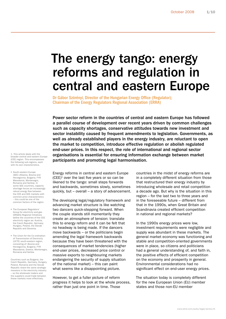### The energy tango: energy reforms and regulation in central and eastern Europe

Dr Gábor Szörényi, Director of the Hungarian Energy Office (Regulator); Chairman of the Energy Regulators Regional Association (ERRA)

Power sector reform in the countries of central and eastern Europe has followed a parallel course of development over recent years driven by common challenges such as capacity shortages, conservative attitudes towards new investment and sector instability caused by frequent amendments to legislation. Governments, as well as already established players in the energy industry, are reluctant to open the market to competition, introduce effective regulation or abolish regulated end-user prices. In this respect, the role of international and regional sector organisations is essential for ensuring information exchange between market participants and promoting legal harmonisation.

1. This article deals with the broader central and eastern Europe (CEE) region. This encompasses the following sub-regions, each with its own characteristics.

- South-eastern Europe (SEE) (Albania, Bosnia and Herzegovina, Bulgaria, FYR Macedonia, Montenegro, Romania and Serbia). In some SEE countries, capacity shortage forces an increasingly energy flow between the CEE and SEE markets with common price characteristics – this could be one of the common factors of the region.
- **The European Regulators'** Group for electricity and gas (ERGEG) Regional Initiatives define the countries of the CEE electricity region as: Austria, the Czech Republic, Germany, Hungary, Poland, the Slovak Republic and Slovenia.
- The Union for the Co-ordination of Transmission of Electricity (UCTE) south-eastern region, consisting of: Bosnia and Herzegovina, Bulgaria, FYR Macedonia, Greece, Montenegro, Romania and Serbia.

Countries such as Bulgaria, the Czech Republic, Germany, Hungary, Poland, Romania and the Slovak Republic share the same strategic investors in the electricity industry – so the wholesale traders and the suppliers could trade between these markets more effectively.

Energy reforms in central and eastern Europe  $(CEE)^1$  over the last five years or so can be likened to the tango: small steps forwards and backwards, sometimes slowly, sometimes quickly, but – overall – a story of advancement.

The developing legal/regulatory framework and advancing market structure is like watching two dancers quick-stepping forward. When the couple stands still momentarily they create an atmosphere of tension: translate this to energy reform and it can be felt that no headway is being made. If the dancers move backwards – or the politicians begin amending the legal framework backwards because they have been threatened with the consequences of market tendencies (higher end-user prices, decreased price control or massive exports to neighbouring markets endangering the security of supply situation of the national market) – this can paint what seems like a disappointing picture.

However, to get a fuller picture of reform progress it helps to look at the whole process, rather than just one point in time. Those

countries in the midst of energy reforms are in a completely different situation from those that restructured their energy industry by introducing wholesale and retail competition a decade ago. But why is the situation in this region – for the last two to three years and in the foreseeable future – different from that in the 1990s, when Great Britain and Scandinavia created efficient competition in national and regional markets?

In the 1990s energy prices were low, investment requirements were negligible and supply was abundant in these markets. The general market economy was functioning and stable and competition-oriented governments were in place, so citizens and politicians had a general understanding of, and faith in, the positive effects of efficient competition on the economy and prosperity in general. Environmental considerations had no significant effect on end-user energy prices.

The situation today is completely different for the new European Union (EU) member states and those non-EU member

www.ebrd.com/pubs/legal/series/lit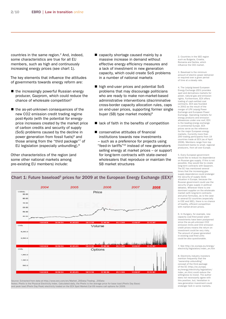countries in the same region.<sup>2</sup> And, indeed, some characteristics are true for all EU members, such as high and continuously increasing energy prices (see chart 1).

The key elements that influence the attitudes of governments towards energy reform are:

- the increasingly powerful Russian energy producer, Gazprom, which could reduce the chance of wholesale competition<sup>5</sup>
- the as-yet-unknown consequences of the new CO2 emission credit trading regime post-Kyoto (with the potential for energyprice increases created by the market price of carbon credits and security of supply (SoS) problems caused by the decline in power generation from fossil fuels)<sup>6</sup> and those arising from the "third package"7 of EU legislation (especially unbundling).8

Other characteristics of the region (and some other national markets among pre-existing EU members) include:

- capacity shortage caused mainly by a massive increase in demand without effective energy efficiency measures and a lack of investment in new generation capacity, which could create SoS problems in a number of national markets
- high end-user prices and potential SoS problems that may discourage politicians who are ready to make non-market-based administrative interventions (discriminative cross-border capacity allocation rules, caps on end-user prices, supporting former single buyer (SB) type market models)<sup>9</sup>
- lack of faith in the benefits of competition
- conservative attitudes of financial institutions towards new investments – such as a preference for projects using "feed-in tariffs"10 instead of new generators selling energy at market prices – or support for long-term contracts with state-owned wholesalers that reproduce or maintain the SB market structures

2. Countries in the SEE region such as Bulgaria, Croatia, Romania and Serbia, which influence the CEE market.

3. Baseload is the minimum amount of electric power delivered or required over a given period of time at a steady rate.

4. The Leipzig-based European Energy Exchange (EEX) provides spot and derivatives markets for power, natural gas and emission rights. Furthermore, EEX offers trading of cash-settled coal contracts. EEX was founded in 2002 as the result of the merger of LPX Leipzig Power Exchange and European Power Exchange. Operating markets for energy products and emission allowances under one roof, EEX is the leading energy exchange in continental Europe. EEX prices serve as the reference for the major European energy markets. Currently more than 200 trading participants from 19 countries trade at EEX (as of April 2008). Members range from top investment banks to small, regional producers, from all over Europe.

5. Every European government would like to reduce its dependence on Russian gas supply. If this is not possible, they would like to create long-term contracts with Gazprom. The EC has mentioned several times that the increasing gassupply dependence could endange the security of supply (SoS) situation in Europe, because the Russian government could use the security of gas supply in political debates. Wherever there is one dominant supplier on the wholesale market (with long-term contracts and price formulas), as is the case in several EU countries (especially in CEE and SEE), there is no chance of healthy, efficient competition with market-driven prices.

6. In Hungary, for example, new capacity coal-fired power plant investments have been postponed since the as-yet-unknown CO2 emission limits and CO2 emission credit prices means the return on investment could be very risky. The amount of power generated in existing coal-fired units could be also questionable.

7. See http://ec.europa.eu/energy/ electricity/legislation/index\_en.htm

8. Electricity industry investors mention frequently that the "ownership unbundling" concept of the third package of the EC (http://ec.europa. eu/energy/electricity/legislation/ index\_en.htm) could reduce the willingness to invest. The author does not necessarily agree with this position, but, hesitation in new generation investment could endanger SoS in some markets.



Chart 1: Future baseload<sup>3</sup> prices for 2009 at the European Energy Exchange (EEX)<sup>4</sup>

Source: Extracted from data at http://www.eex.com/en/Market\_20Data/Trading \_20Data Notes: Phelix is the Physical Electricity Index. Calculated daily, the Phelix is the average price for base load (Phelix Day Base) and peak load (Phelix Day Peak) electricity traded on the EEX Spot Market.Cal-09 means call options for 2009.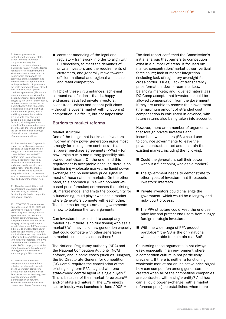9. Several governments restructured their former stateowned vertically integrated companies in a way that separated the generation and distribution/supply from the former headquarters company structure, which remained a wholesaler and transmission company. In the early days of market reform (and in some cases as a prerequisite to the privatisation of generators) the state-owned wholesaler signed long-term contracts – power purchase agreements (PPAs) – with generator companies. Where the existing generator companies are obliged by law to offer their capacity to the nominated wholesaler (as a central agent), this wholes is known as a single buyer (SB). The former Portuguese, Polish and Hungarian market models are similar to this. The stateowned SB may have a buffer function, with the government controlling the regulated end-user price through the limited profit of the SB. The main disadvantage of the SB model is the lack of wholesale competition.

10. The "feed-in tariff" system is one of the tariffing mechanisms designed to support renewable energy and combined heat and power. With a "feed-in tariff" system there is an obligation to buy electricity produced by renewable or combined heat and power producers at a rate that is higher than the market price. This system is attractive and predictable for the investors involved in renewables or combined heat and power (no market risk).

11. The other possibility is that this inhibits the market model from becoming an efficient. functioning wholesale competition with several players.

12. IP/08/850 EC press release: Brussels, 4 June 2008: *State aid: Commission requests Hungary to end long-term power purchase agreements and recover state aid from power generators.* "The European Commission has asked Hungary, following an in-depth investigation under EC Treaty state aid rules, to end long-term power purchase agreements (PPAs) for electricity because they constitute unlawful and incompatible state aid to the power generators. The PPAs should be terminated before the end of 2008. Hungary must at the same time recover the aid granted to the generators concerned since Hungary's EU accession.

13. Foreclosure means that new players are prevented from entering the wholesale market, or end-users from contracting directly with generators. Vertical foreclosure means that integrated incumbents who operate simultaneously at network, wholesale and distribution levels prevent new players from entering. ■ constant amending of the legal and regulatory framework in order to align with EU directives, to meet the demands of private investors and the requirements of customers, and generally move towards efficient national and regional wholesale and retail competition.

In light of these circumstances, achieving all-round satisfaction – that is, happy end-users, satisfied private investors, silent trade unions and patient politicians – through a buyer's market with functioning competition is difficult, but not impossible.

#### Barriers to market reforms

#### Market structure

One of the things that banks and investors involved in new power generation argue most strongly for is long-term contracts – that is, power purchase agreements (PPAs) – for new projects with one strong (possibly stateowned) participant. On the one hand this requirement is acceptable because there is no functioning wholesale market, no liquid power exchange and no indicative price signal in most of these national markets. On the other hand, this approach (PPAs with non-marketbased price formulas) entrenches the existing SB market model and limits the opportunity for a functioning, multi-player wholesale market where generators compete with each other.<sup>11</sup> The dilemma for regulators and governments is how to balance the two arguments.

Can investors be expected to accept any market risk if there is no functioning wholesale market? Will they build new generation capacity that could compete with other generators in market conditions such as these?

The National Regulatory Authority (NRA) and the National Competition Authority (NCA) enforce, and in some cases (such as Hungary), the EC Directorate-General for Competition (DG Comp) requires the cancellation of the existing long-term PPAs signed with one state-owned central agent (a single buyer).<sup>12</sup> This is because of their market foreclosure<sup>13</sup> and/or state aid nature.<sup>14</sup> The EC's energy sector inquiry was launched in June 2005.<sup>15</sup>

 The final report confirmed the Commission's initial analysis that barriers to competition exist in a number of areas. It focused on: market concentration/market power; vertical foreclosure; lack of market integration (including lack of regulatory oversight for cross-border issues); lack of transparency; price formation; downstream markets; balancing markets; and liquefied natural gas. DG Comp accepts that investors should be allowed compensation from the government if they are unable to recover their investment (the maximum amount of stranded cost compensation is calculated in advance, with future returns also being taken into account).

However, there are a number of arguments that foreign private investors and incumbent wholesalers (SBs) could use to convince governments to leave the private contracts intact and maintain the existing market, including the following.

- Could the generators sell their power without a functioning wholesale market?
- The government needs to demonstrate to other types of investors that it respects investors' interests.
- Private investors could challenge the government, which would be a lengthy and risky court process.
- The PPA structure could keep the end-user price low and protect end-users from hungry foreign strategic investors.
- With the wide range of PPA product portfolios<sup>16</sup> the SB is the only national wholesaler able to maintain real SoS.

Countering these arguments is not always easy, especially in an environment where a competition culture is not particularly prevalent. If there is neither a functioning wholesale market nor an indicative price signal, how can competition among generators be created when all of the competitive companies are contracted with a single entity? And how can a liquid power exchange (with a market reference price) be established when there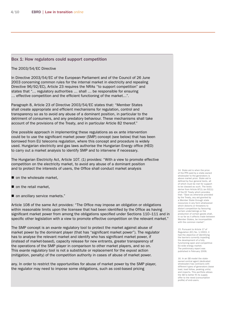#### Box 1: How regulators could support competition

#### The 2003/54/EC Directive

In Directive 2003/54/EC of the European Parliament and of the Council of 26 June 2003 concerning common rules for the internal market in electricity and repealing Directive 96/92/EC), Article 23 requires the NRAs "to support competition" and states that "… regulatory authorities … shall … be responsible for ensuring … effective competition and the efficient functioning of the market…".

Paragraph 8, Article 23 of Directive 2003/54/EC states that: "Member States shall create appropriate and efficient mechanisms for regulation, control and transparency so as to avoid any abuse of a dominant position, in particular to the detriment of consumers, and any predatory behaviour. These mechanisms shall take account of the provisions of the Treaty, and in particular Article 82 thereof."

One possible approach in implementing these regulations as ex ante intervention could be to use the significant market power (SMP) concept (see below) that has been borrowed from EU telecoms regulation, where this concept and procedure is widely used. Hungarian electricity and gas laws authorise the Hungarian Energy office (HEO) to carry out a market analysis to identify SMP and to intervene if necessary.

The Hungarian Electricity Act, Article 107. (1) provides: "With a view to promote effective competition on the electricity market, to avoid any abuse of a dominant position and to protect the interests of users, the Office shall conduct market analysis

- on the wholesale market,
- on the retail market,
- on ancillary service markets."

Article 108 of the same Act provides: "The Office may impose an obligation or obligations within reasonable limits upon the licensee that had been identified by the Office as having significant market power from among the obligations specified under Sections 110–111 and in specific other legislation with a view to promote effective competition on the relevant market."

The SMP concept is an *exante* regulatory tool to protect the market against abuse of market power by the dominant player (that has "significant market power"). The regulator has to analyse the relevant market and identify who has significant market power, if (instead of market-based), capacity release for new entrants, greater transparency of the operations of the SMP player in comparison to other market players, and so on. This *exante* regulatory tool is not a substitute or replacement for the *expost* action (mitigation, penalty) of the competition authority in cases of abuse of market power.

any. In order to restrict the opportunities for abuse of market power by the SMP player, the regulator may need to impose some obligations, such as cost-based pricing

14. State aid is when the price of the PPA paid by a state-owned wholesaler to the generators is above market price. State aid is defined by four general tests, all of which must be met for support to be classed as such. The tests derive from Article 87(1) (ex 92(1)) of the EC Treaty which provides that: "Save as otherwise provided by the Treaty, any aid granted by a Member State through state resources in any form whatsoever which distorts or threatens to distort competition by favouring certain undertakings or the production of certain goods shall, in so far as it affects trade between Member States, be incompatible with the common market".

15. Pursuant to Article 17 of Regulation (EC) No. 1/2003, it had the objective of identifying the barriers currently impeding the development of a fully functioning open and competitive EU-wide energy market. The preliminary report was published in February 2006.

16. In an SB model the stateowned central agent (dedicated wholesaler) has contracts with different types of generators (base load, load follow, peaking units) and imports. This portfolio allows the SB to better fit its supply offer to the need (consumption profile) of end-users.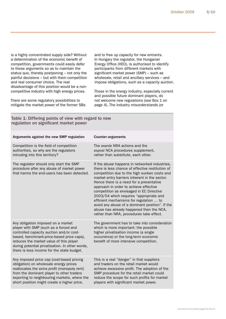is a highly concentrated supply side? Without a determination of the economic benefit of competition, governments could easily defer to these arguments so as to maintain the status quo, thereby postponing – not only the painful decisions – but with them competition and real consumer choice. The real disadvantage of this position would be a noncompetitive industry with high energy prices.

There are some regulatory possibilities to mitigate the market power of the former SBs and to free up capacity for new entrants. In Hungary the regulator, the Hungarian Energy Office (HEO), is authorised to identify participants from different markets with significant market power (SMP) – such as wholesale, retail and ancillary services – and impose obligations, such as a capacity auction.

Those in the energy industry, especially current and possible future dominant players, do not welcome new regulations (see Box 1 on page 4). The industry misunderstands (or

| Table 1: Differing points of view with regard to new<br>regulation on significant market power                                                                                                                                                                                                                   |                                                                                                                                                                                                                                                                                                                                                                                                                                                                                                                                                                       |
|------------------------------------------------------------------------------------------------------------------------------------------------------------------------------------------------------------------------------------------------------------------------------------------------------------------|-----------------------------------------------------------------------------------------------------------------------------------------------------------------------------------------------------------------------------------------------------------------------------------------------------------------------------------------------------------------------------------------------------------------------------------------------------------------------------------------------------------------------------------------------------------------------|
| Arguments against the new SMP regulation                                                                                                                                                                                                                                                                         | <b>Counter-arguments</b>                                                                                                                                                                                                                                                                                                                                                                                                                                                                                                                                              |
| Competition is the field of competition<br>authorities, so why are the regulators<br>intruding into this territory?                                                                                                                                                                                              | The exante NRA actions and the<br>expost NCA procedures supplement,<br>rather than substitute, each other.                                                                                                                                                                                                                                                                                                                                                                                                                                                            |
| The regulator should only start the SMP<br>procedure after any abuse of market power<br>that harms the end-users has been detected.                                                                                                                                                                              | If the abuse happens in networked industries,<br>there is less chance of effective restitution of<br>competition due to the high sunken costs and<br>market entry barriers inherent in the sector.<br>Hence there is a need for a preventative<br>approach in order to achieve effective<br>competition as envisaged in EC Directive<br>2003/54 which requires "appropriate and<br>efficient mechanisms for regulation  to<br>avoid any abuse of a dominant position". If the<br>abuse has already happened then the NCA,<br>rather than NRA, procedures take effect. |
| Any obligation imposed on a market<br>player with SMP (such as a forced and<br>controlled capacity auction and/or cost-<br>based, benchmark-price-based price caps),<br>reduces the market value of this player<br>during potential privatisation. In other words,<br>there is less income for the state budget. | The government has to take into consideration<br>which is more important: the possible<br>higher privatisation income (a single<br>occurrence) or the long-term economic<br>benefit of more intensive competition.                                                                                                                                                                                                                                                                                                                                                    |
| Any imposed price cap (cost-based pricing<br>obligation) on wholesale energy prices<br>reallocates the extra profit (monopoly rent)<br>from the dominant player to other traders<br>exporting to neighbouring markets, where the<br>short position might create a higher price.                                  | This is a real "danger" in that suppliers<br>and traders on the retail market would<br>achieve excessive profit. The adoption of the<br>SMP procedure for the retail market could<br>reduce the scope for such profits for market<br>players with significant market power.                                                                                                                                                                                                                                                                                           |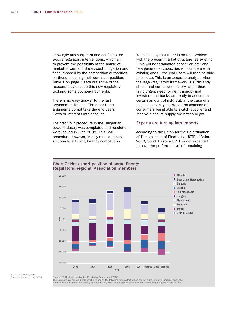knowingly misinterprets) and confuses the *exante* regulatory interventions, which aim to prevent the possibility of the abuse of market power, and the ex-post mitigation and fines imposed by the competition authorities on those misusing their dominant position. Table 1 on page 5 sets out some of the reasons they oppose this new regulatory tool and some counter-arguments.

There is no easy answer to the last argument in Table 1. The other three arguments do not take the end-users' views or interests into account.

The first SMP procedure in the Hungarian power industry was completed and resolutions were issued in June 2008. This SMP procedure, however, is only a second-best solution to efficient, healthy competition.

We could say that there is no real problem with the present market structure, as existing PPAs will be terminated sooner or later and new generation capacities will compete with existing ones – the end-users will then be able to choose. This is an accurate analysis when the legal/regulatory framework is sufficiently stable and non-discriminatory, when there is no urgent need for new capacity and investors and banks are ready to assume a certain amount of risk. But, in the case of a regional capacity shortage, the chances of consumers being able to switch supplier and receive a secure supply are not so bright.

#### Exports are turning into imports

According to the Union for the Co-ordination of Transmission of Electricity (UCTE), "Before 2010, South Eastern UCTE is not expected to have the preferred level of remaining



#### Chart 2: Net export position of some Energy Regulators Regional Association members

17. UCTE Power System Adequacy Report (1 July 2008)

Source: ERRA Wholesale Market Monitoring Report, April 2008

The calculation of figures in this chart is based on the following data collection: balance of trade: Import-Export (net domestic<br>production minus balance of trade (exports-imports) equal to net consumption plus network lo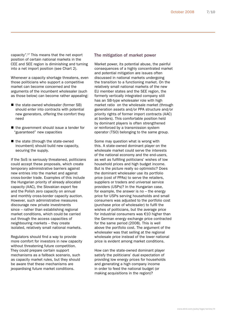capacity".17 This means that the net export position of certain national markets in the CEE and SEE region is diminishing and turning into a net import position (see Chart 2).

Whenever a capacity shortage threatens, even those politicians who support a competitive market can become concerned and the arguments of the incumbent wholesaler (such as those below) can become rather appealing:

- the state-owned wholesaler (former SB) should enter into contracts with potential new generators, offering the comfort they need
- the government should issue a tender for "guaranteed" new capacities
- $\blacksquare$  the state (through the state-owned incumbent) should build new capacity, securing the supply.

If the SoS is seriously threatened, politicians could accept these proposals, which create temporary administrative barriers against new entries into the market and against cross-border trade. Examples of this include the Hungarian priority of already allocated capacity (AAC), the Slovakian export fee and the Polish zero capacity on annual and monthly cross-border capacity auction. However, such administrative measures discourage new private investments since – rather than establishing regional market conditions, which could be carried out through the access capacities of neighbouring markets – they create isolated, relatively small national markets.

Regulators should find a way to provide more comfort for investors in new capacity without threatening future competition. They could prepare certain support mechanisms as a fallback scenario, such as capacity market rules, but they should be aware that these mechanisms are jeopardising future market conditions.

#### The mitigation of market power

Market power, its potential abuse, the painful consequences of a highly concentrated market and potential mitigation are issues often discussed in national markets undergoing the transition to a functioning market. On the relatively small national markets of the new EU member states and the SEE region, the formerly vertically integrated company still has an SB-type wholesaler role with high market ratio on the wholesale market (through generation assets and/or PPA structure and/or priority rights of former import contracts (AAC) at borders). This comfortable position held by dominant players is often strengthened or reinforced by a transmission system operator (TSO) belonging to the same group.

Some may question what is wrong with this. A state-owned dominant player on the wholesale market could serve the interests of the national economy and the end-users, as well as fulfilling politicians' wishes of low household prices and high budget income. But is the picture really so optimistic? Does the dominant wholesaler use its portfolio price (cost of PPAs) to serve the retailers, suppliers or traders and universal service providers (USPs)? In the Hungarian case, for example, the answer is no – the energy price for USPs serving households and small consumers was adjusted to the portfolio cost (purchase price of wholesaler) to fulfil the wishes of politicians, but the average price for industrial consumers was €10 higher than the German energy exchange price contracted for the same period (2008). This is well above the portfolio cost. The argument of the wholesaler was that selling at the regional wholesale price instead of the lower national price is evident among market conditions.

How can the state-owned dominant player satisfy the politicians' dual expectation of providing low energy prices for households and generating a high company income in order to feed the national budget (or making acquisitions in the region)?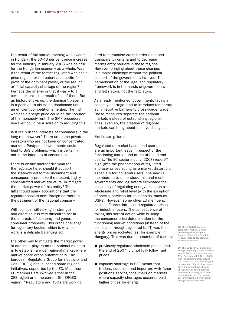The result of full market opening was evident in Hungary: the 30-40 per cent price increase for the industry in January 2008 was painful for the Hungarian economy as a whole. Was it the result of the former regulated wholesale price regime, or the potential appetite for profit of the dominant player, or the real or artificial capacity shortage of the region? Perhaps the answer is that it was – to a certain extent – the result of all of them. But, as history shows us, the dominant player is in a position to abuse its dominance until an efficient competition emerges. The high wholesale energy price could be the "source" of the monopoly rent. The SMP procedure, however, could be a solution to reducing this.

Is it really in the interests of consumers in the long run, however? There are some private investors who are not keen on concentrated markets. Postponed investments could lead to SoS problems, which is certainly not in the interests of consumers.

There is clearly another dilemma for the regulator here: should it support the state-owned former incumbent and consequently preserve the present, highlyconcentrated market structure, or mitigate the market power of this entity? The latter could spark accusations that the regulator assists new, foreign entrants to the detriment of the national company.

With political will varying in strength and direction it is very difficult to act in the interests of economy and general consumer prosperity. This is the challenge for regulatory bodies, which is why this work is a delicate balancing act.

The other way to mitigate the market power of dominant players on the national markets is to establish a wider regional market where market share drops automatically. The European Regulators Group for Electricity and Gas (ERGEG) has launched some regional initiatives, supported by the EC. Most new EU members are involved either in the CEE region or in the current 8th ERGEG region.18 Regulators and TSOs are working

hard to harmonise cross-border rules and transparency criteria and to decrease market entry barriers in these regions. However, bringing about these changes is a major challenge without the political support of the governments involved. The harmonisation of the legal and regulatory framework is in the hands of governments and legislators, not the regulators.

As already mentioned, governments facing a capacity shortage tend to introduce temporary administrative barriers to cross-border trade. These measures separate the national markets instead of establishing regional ones. Even so, the creation of regional markets can bring about positive changes.

#### End-user prices

Regulated or market-based end-user prices are an important issue in respect of the functioning market and of the affected endusers. The EC sector inquiry (2007) report $19$ highlights the phenomenon of regulated end-user prices acting as a market distortion, especially for industrial users. The new EU members have understood this and most governments and legislators eliminated the possibility of regulating energy prices on a wholesale and retail level (with the exception of special services for households, such as USPs). However, some older EU members, such as France, introduced regulated prices for industrial users. The consequence of taking this sort of action while building the consumer price determination for the functioning market conditions (instead of the politicians through regulated tariff) was that energy prices rocketed (as, for example, in Hungary). This was due to a number of factors:

- previously regulated wholesale prices (until the end of 2007) did not fully follow fuel prices  $\blacksquare$
- capacity shortage in SEE meant that traders, suppliers and importers with "short" positions serving consumers on markets where capacity shortages occurred paid higher prices for energy

18. The ERGEG 8th region comprises: Albania, Bosnia and Herzegovina, Bulgaria, Croatia, Greece, Hungary, Italy, Kosovo, Macedonia, Romania, Serbia and Slovenia.

<sup>19.</sup> The European Commission's energy sector inquiry was launched in June 2005, pursuant to Article 17 of Regulation (EC) No. 1/2003, with the objective of identifying the barriers currently impeding the development of a fully functioning open and competitive EU wide energy market. The report published in January 2007 and is available at http://ec.europa. eu/comm/competition/sectors/ energy/inquiry/index.html.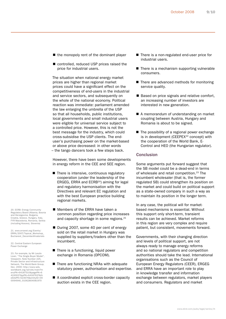- the monopoly rent of the dominant player
- controlled, reduced USP prices raised the price for industrial users.

The situation when national energy market prices are higher than regional market prices could have a significant effect on the competitiveness of end-users in the industrial and service sectors, and subsequently on the whole of the national economy. Political reaction was immediate: parliament amended the law enlarging the umbrella of the USP so that all households, public institutions, local governments and small industrial users were eligible for universal service subject to a controlled price. However, this is not the best message for the industry, which could cross-subsidise the USP clients. The enduser's purchasing power on the market-based or above price decreased: in other words – the tango dancers took a few steps back.

However, there have been some developments in energy reform in the CEE and SEE region.

- There is intensive, continuous regulatory cooperation (under the leadership of the ERGEG, ERRA and ECRB20) aiming for legal and regulatory harmonisation with the Directives and relevant EC regulation and with the best European practice building regional markets.
- Members of the ERRA have taken a common position regarding price increases and capacity shortage in some regions.<sup>21</sup>
- During 2007, some 40 per cent of energy sold on the retail market in Hungary was supplied by suppliers/traders other than the incumbent.
- There is a functioning, liquid power exchange in Romania (OPCOM).
- There are functioning NRAs with adequate statutory power, authorisation and expertise.
- A coordinated explicit cross-border capacity auction exists in the CEE region.
- There is a non-regulated end-user price for industrial users.
- There is a mechanism supporting vulnerable consumers.
- There are advanced methods for monitoring service quality.
- Based on price signals and relative comfort, an increasing number of investors are interested in new generation.
- A memorandum of understanding on market coupling between Austria, Hungary and Romania is about to be signed.
- The possibility of a regional power exchange is in development (CEEPEX<sup>22</sup> concept) with the cooperation of the World Bank, E-Control and HEO (the Hungarian regulator).

#### Conclusion

Some arguments put forward suggest that the SB model could be a dead-end in terms of wholesale and retail competition.<sup>23</sup> The incumbent wholesaler (that is, the former regulated SB) could strengthen its position on the market and could build on political support as a state-owned company in such a way as to maintain its position in the longer term.

In any case, the political will for marketbased mechanisms is essential. Without this support only short-term, transient results can be achieved. Market reforms in this region are very complex and require patient, but consistent, movements forward.

Governments, with their changing direction and levels of political support, are not always ready to manage energy reforms and so national regulators and competition authorities should take the lead. International organisations such as the Council of European Energy Regulators (CEER), ERGEG and ERRA have an important role to play in knowledge transfer and information exchange between regulators, market players and consumers. Regulators and market

20. ECRB: Energy Community Regulatory Board (Albania, Bosnia and Herzegovina, Bulgaria, Croatia, Greece, Hungary, Italy, FYR Macedonia, Romania, Serbia (including Kosovo), Slovenia)

21. www.erranet.org/Events/ ERRA/2007/Topical\_Workshop Bucharest\_December#materials

22. Central Eastern European Power Exchange

23. For example, by Mr Laszlo Lovei, "The Single-Buyer Model", Viewpoint, Note Number 225, Private Sector and Infrastructure Network, The World Bank Group, Dec. 2000: http://www-wds. worldbank.org/servlet/main?m enuPK=64187510&pagePK=6 4193027&piPK=64187937&th eSitePK=523679&entityID=00 0094946\_01062804081970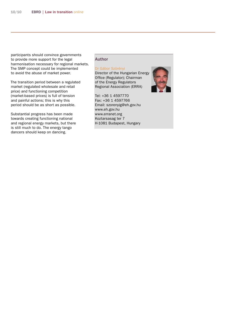participants should convince governments to provide more support for the legal harmonisation necessary for regional markets. The SMP concept could be implemented to avoid the abuse of market power.

The transition period between a regulated market (regulated wholesale and retail price) and functioning competition (market-based prices) is full of tension and painful actions; this is why this period should be as short as possible.

Substantial progress has been made towards creating functioning national and regional energy markets, but there is still much to do. The energy tango dancers should keep on dancing.

#### Author

#### Dr Gábor Szörényi

Director of the Hungarian Energy Office (Regulator); Chairman of the Energy Regulators Regional Association (ERRA)

Tel: +36 1 4597770 Fax: +36 1 4597766 Email: szorenyig@eh.gov.hu www.eh.gov.hu www.erranet.org Koztarsasag ter 7 H-1081 Budapest, Hungary

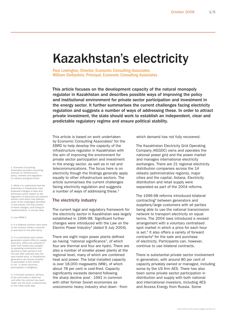### Kazakhstan's electricity

Paul Lewington, Director, Economic Consulting Associates William Derbyshire, Principal, Economic Consulting Associates

This article focuses on the development capacity of the natural monopoly regulator in Kazakhstan and describes possible ways of improving the policy and institutional environment for private sector participation and investment in the energy sector. It further summarises the current challenges facing electricity regulation and suggests a number of ways of addressing these. In order to attract private investment, the state should work to establish an independent, clear and predictable regulatory regime and ensure political stability.

This article is based on work undertaken by Economic Consulting Associates<sup>1</sup> for the EBRD to help develop the capacity of the infrastructure regulator in Kazakhstan with the aim of improving the environment for private sector participation and investment in the energy sector, as well as in rail and telecommunications. The focus here is on electricity though the findings generally apply equally to other infrastructure sectors. The article summarises the current challenges facing electricity regulation and suggests a number of ways of addressing these.<sup>2</sup>

#### The electricity industry

The current legal and regulatory framework for the electricity sector in Kazakhstan was largely established in 1996-98. Significant further changes were introduced with the Law on the Electric Power Industry<sup>3</sup> (dated 9 July 2004).

There are eight major power plants defined as having "national significance", of which four are thermal and four are hydro. There are also a number of smaller power plants at the regional level, many of which are combined heat and power. The total installed capacity is over 18,000 megawatts (MW), of which about 78 per cent is coal-fired. Capacity significantly exceeds demand following the sharp decline post - 1991 in common with other former Soviet economies as uneconomic heavy industry shut down - from

which demand has not fully recovered.

The Kazakhstan Electricity Grid Operating Company (KEGOC) owns and operates the national power grid and the power market and manages international electricity exchanges. There are 21 regional electricity distribution companies across the 14 oblasts (administrative regions), major cities and the capital, Astana. Electricity distribution and retail supply were separated as part of the 2004 reforms.

The 1996-98 reforms introduced bilateral contracting4 between generators and suppliers/large customers with all parties being able to use the national transmission network to transport electricity on equal terms. The 2004 laws introduced a revised arrangement with a voluntary centralised spot market in which a price for each hour is set.<sup>5</sup> It also offers a variety of forward contracts<sup>6</sup> for the sale and purchase of electricity. Participants can, however, continue to use bilateral contracts.

There is substantial private sector involvement in generation, with around 80 per cent of capacity privately owned or managed, including some by the US firm AES. There has also been some private sector participation in distribution and supply with both national and international investors, including AES and Access Energy from Russia. Some

1. Economic Consulting Associates provides consulting services on infrastructure policy, markets and regulation to industry and government.

2. While it is understood that the authorities in Kazakhstan have proposed changes to laws and processes which impact on the regulation of electricity and relevant sectors (and which may address some of the challenges identified in this article), the final content of these changes, and timing for implementation, is not yet clear.

3. Law #588-II.

4. In a bilateral contract each party to the contract makes a promise or promises to the other party.

5. In a centralised spot market, generators submit offers to supply electricity. Offers are selected in order from lowest-cost (subject to operating constraints) until demand in each period is met. The last offer selected sets the spot market price. In Kazakhstan, generators can choose whether to participate in this market or not - in some countries, participation is obligatory.

6. In forward contracts, delivery of the commodity is deferred until after the contract has been made, but the price is determined on the initial trade date.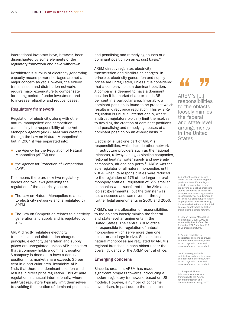international investors have, however, been disenchanted by some elements of the regulatory framework and have withdrawn.

Kazakhstan's surplus of electricity generating capacity means power shortages are not a major concern as yet. However, the elderly transmission and distribution networks require major expenditure to compensate for a long period of under-investment and to increase reliability and reduce losses.

#### Regulatory framework

Regulation of electricity, along with other natural monopolies<sup> $7$ </sup> and competition, was initially the responsibility of the Anti-Monopoly Agency (AMA). AMA was created through the Law on Natural Monopolies<sup>8</sup> but in 2004 it was separated into:

- the Agency for the Regulation of Natural Monopolies (AREM) and
- the Agency for Protection of Competition (APK).

This means there are now two regulatory bodies and two laws governing the regulation of the electricity sector.

- The Law on Natural Monopolies relates to electricity networks and is regulated by AREM. ٠
- The Law on Competition relates to electricity generation and supply and is regulated by APK.

AREM directly regulates electricity transmission and distribution charges. In principle, electricity generation and supply prices are unregulated, unless APK considers that a company holds a dominant position. A company is deemed to have a dominant position if its market share exceeds 35 per cent in a particular area. Invariably, APK finds that there is a dominant position which results in direct price regulation. This ex ante regulation is unusual internationally, where antitrust regulators typically limit themselves to avoiding the creation of dominant positions, and penalising and remedying abuses of a dominant position on an ex post basis.<sup>9</sup>

AREM directly regulates electricity transmission and distribution charges. In principle, electricity generation and supply prices are unregulated, unless it is considered that a company holds a dominant position. A company is deemed to have a dominant position if its market share exceeds 35 per cent in a particular area. Invariably, a dominant position is found to be present which results in direct price regulation. This ex ante regulation is unusual internationally, where antitrust regulators typically limit themselves to avoiding the creation of dominant positions, and penalising and remedying abuses of a dominant position on an ex-post basis.<sup>10</sup>

Electricity is just one part of AREM's responsibilities, which include other network infrastructure providers such as the national telecoms, railways and gas pipeline companies, regional heating, water supply and sewerage companies, air and sea ports.<sup>11</sup> AREM was the sole regulator of all natural monopolies until 2004, when its responsibilities were reduced to the regulation of 176 of the larger natural monopoly entities. Regulation of 652 smaller companies was transferred to the Akimates (oblast governments), but the transfer was not a success and was reversed through further legal amendments in 2005 and 2006.

AREM's current allocation of responsibilities to the oblasts loosely mimics the federal and state-level arrangements in the United States. The central AREM office is responsible for regulation of natural monopolies which serve more than one oblast or are large in size. Smaller, local natural monopolies are regulated by AREM's regional branches in each oblast under the overall guidance of the AREM central office.

#### Emerging concerns

Since its creation, AREM has made significant progress towards introducing a modern regulatory framework, based on US models. However, a number of concerns have arisen, in part due to the mismatch

AREM's [...] responsibilities to the oblasts loosely mimics the federal and state-level arrangements in the United States. AREM's [...]<br>AREM's [...]<br>responsibilities<br>to the oblasts

7. A natural monopoly occurs where the cost of producing the product is lower if there is just a single producer than if there are several competing producers (due to economies of scale). For example, unless existing capacity is exhausted, you would generally not build two competing electricity or gas pipeline networks serving the same destinations as the total costs of supply would be higher than building a single network.

8. Law on Natural Monopolies number 272, 9 July 1998, as amended by Law #364 of 26 December 2002 and Law #13 of 20 December 2004.

9. Ex ante regulation is anticipatory and aims to prevent an undesirable outcome, while ex post regulation deals with redress of proven misconduct.

10. Ex ante regulation is anticipatory and aims to prevent an undesirable outcome, while ex post regulation deals with redress of proven misconduct.

11. Responsibility for telecommunications was transferred to the Agency for Informatisation and Communications during 2007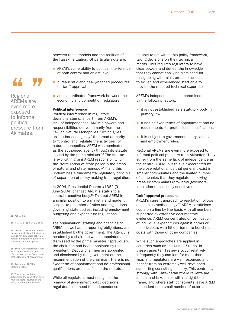between these models and the realities of the Kazakh situation. Of particular note are:

- **AREM's vulnerability to political interference** at both central and oblast level
- **DED** bureaucratic and heavy-handed procedures for tariff approval
- an uncoordinated framework between the economic and competition regulators.

#### Political interference

Political interference in regulatory decisions stems, in part, from AREM's lack of independence. AREM's powers and responsibilities derive primarily from the Law on Natural Monopolies<sup>12</sup> which gives an "authorised agency" the broad authority to "control and regulate the activities" of natural monopolies. AREM was nominated as the authorised agency through its statute issued by the prime minister.<sup>13</sup> The statute is explicit in giving AREM responsibility for the "formulation of state policy in the areas of natural and state monopoly"<sup>14</sup> and this undermines a fundamental regulatory principle of separation of policy-making from regulation.

In 2004, Presidential Decree #1382 (9 June 2004) changed AREM's status to a central executive body.15 This put AREM in a similar position to a ministry and made it subject to a number of rules and regulations governing state bodies, including employment, budgeting and expenditure regulations.

The organisation, staffing and financing of AREM, as well as its reporting obligations, are established by the government. The Agency is headed by a chairman who is appointed and dismissed by the prime minister $16$  (previously, the chairman had been appointed by the president). Deputy chairmen are appointed and dismissed by the government on the recommendation of the chairman. There is no fixed term of appointment and no professional qualifications are specified in the statute.

While all regulators must recognise the primacy of government policy decisions, regulators also need the independence to be able to act within this policy framework, taking decisions on their technical merits. This requires regulators to have clear powers and duties, the knowledge that they cannot easily be dismissed for disagreeing with ministers, and access to skilled and experienced staff able to provide the required technical expertise.

AREM's independence is compromised by the following factors:

- $\blacksquare$  it is not established as a statutory body in primary law
- $\blacksquare$  it has no fixed terms of appointment and no requirements for professional qualifications
- $\blacksquare$  it is subject to government salary scales and employment rules.

Regional AREMs are even more exposed to informal political pressure from Akimates. They suffer from the same lack of independence as the central AREM, but this is exacerbated by the close relationships that generally exist in smaller communities and the limited number of companies that they regulate – allowing pressure from Akims (provincial governors) in relation to politically sensitive utilities.

#### Tariff approval procedures

AREM's current approach to regulation follows a cost-plus methodology.17 AREM scrutinises costs on a line-by-line basis with all numbers supported by extensive documentary evidence. AREM concentrates on verification of individual expenditures against norms or historic costs with little attempt to benchmark costs with those of other companies.

While such approaches are applied in countries such as the United States, in these cases tariff reviews occur relatively infrequently they can last for more than one year, and regulators are well-resourced and benefit from an extremely well-developed supporting consulting industry. This contrasts strongly with Kazakhstan where reviews are annual and take place within a tight time frame, and where staff constraints leave AREM dependent on a small number of external

# 44 Y.

Regional AREMs are even more exposed to informal political pressure from Akimates.

12. Article 13.

13. Decree #1109 of July 2004.

14. Article 1. Article 9 expands this responsibility still further to include not only state policy on natural monopolies but also state policy on state monopolies.

15. The statute describes AREM as a central executive body "forming part of the Government of the Republic of Kazakhstan".

16. Article 4 of AREM's Statute #1109.

17. Where the regulator determines the generation price with the costs incurred by the utility, and the profit allowed.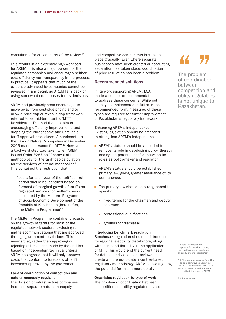consultants for critical parts of the review.18

This results in an extremely high workload for AREM. It is also a major burden for the regulated companies and encourages neither cost efficiency nor transparency in the process. In practice, it appears that much of the evidence advanced by companies cannot be reviewed in any detail, so AREM falls back on using somewhat crude bases for its decisions.

AREM had previously been encouraged to move away from cost-plus pricing and to allow a price-cap or revenue-cap framework, referred to as mid-term tariffs (MTT) in Kazakhstan. This had the dual aim of encouraging efficiency improvements and dropping the burdensome and unreliable tariff approval procedures. Amendments to the Law on Natural Monopolies in December 2005 made allowance for MTT.<sup>19</sup> However, a backward step was taken when AREM issued Order #287 on "Approval of the methodology for the tariff-cap calculation for the services of natural monopolies". This contained the restriction that:

"costs for each year of the tariff control period should be identified based on forecast of marginal growth of tariffs on regulated services for midterm period stipulated by the Midterm Programme of Socio-Economic Development of the Republic of Kazakhstan (hereinafter, the Midterm Programme)"20

The Midterm Programme contains forecasts on the growth of tariffs for most of the regulated network sectors (excluding rail and telecommunications) that are approved through government resolutions. This means that, rather than approving or rejecting submissions made by the entities based on independent technical criteria, AREM has agreed that it will only approve costs that conform to forecasts of tariff increases approved by the government.

#### Lack of coordination of competition and natural monopoly regulation

The division of infrastructure companies into their separate natural monopoly

and competitive components has taken place gradually. Even where separate businesses have been created or accounting separation has taken place, coordination of price regulation has been a problem.

#### Recommended solutions

In its work supporting AREM, ECA made a number of recommendations to address these concerns. While not all may be implemented in full or in the recommended form, measures of these types are required for further improvement of Kazakhstan's regulatory framework.

#### Enhancing AREM's independence

Existing legislation should be amended to strengthen AREM's independence.

- AREM's statute should be amended to remove its role in developing policy, thereby ending the potential conflict between its roles as policy-maker and regulator.
- AREM's status should be established in primary law, giving greater assurance of its permanence.
- The primary law should be strengthened to specify:
	- fixed terms for the chairman and deputy chairmen
	- professional qualifications E
	- grounds for dismissal. F

#### Introducing benchmark regulation

Benchmark regulation should be introduced for regional electricity distributors, along with increased flexibility in the application of MTT. This would end the current need for detailed individual cost reviews and create a more up-to-date incentive-based regulatory methodology. AREM is investigating the potential for this in more detail.

Organising regulation by type of work The problem of coordination between competition and utility regulators is not

The problem The problem<br>
of coordination<br>
between between competition and utility regulators is not unique to Kazakhstan.

18. It is understood that proposals for revision of cost/ tariff setting methodology are currently under consideration.

19. The law now provides for AREM – as an alternative to approving tariffs for an indefinite period - to set a price/tariff-cap for a period of validity determined by AREM.

20. Paragraph 8.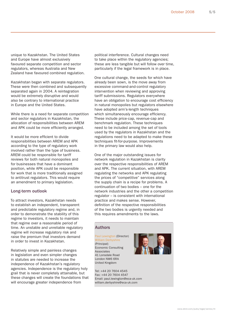unique to Kazakhstan. The United States and Europe have almost exclusively favoured separate competition and sector regulators, whereas Australia and New Zealand have favoured combined regulation.

Kazakhstan began with separate regulators. These were then combined and subsequently separated again in 2004. A reintegration would be extremely disruptive and would also be contrary to international practice in Europe and the United States.

While there is a need for separate competition and sector regulators in Kazakhstan, the allocation of responsibilities between AREM and APK could be more efficiently arranged.

It would be more efficient to divide responsibilities between AREM and APK according to the type of regulatory work involved rather than the type of business. AREM could be responsible for tariff reviews for both natural monopolies and for businesses that have a dominant position, while APK could be responsible for work that is more traditionally assigned to antitrust regulators. This would require an amendment to primary legislation.

#### Long-term outlook

To attract investors, Kazakhstan needs to establish an independent, transparent and predictable regulatory regime and, in order to demonstrate the stability of this regime to investors, it needs to maintain that regime over a reasonable period of time. An unstable and unreliable regulatory regime will increase regulatory risk and raise the premium that investors demand in order to invest in Kazakhstan.

Relatively simple and painless changes in legislation and even simpler changes in statutes are needed to increase the independence of Kazakhstan's regulatory agencies. Independence is the regulatory holy grail that is never completely attainable, but these changes will create the foundations that will encourage greater independence from

political interference. Cultural changes need to take place within the regulatory agencies; these are less tangible but will follow over time, particularly if the legal framework is in place.

One cultural change, the seeds for which have already been sown, is the move away from excessive command-and-control regulatory intervention when reviewing and approving tariff submissions. Regulators everywhere have an obligation to encourage cost efficiency in natural monopolies but regulators elsewhere have adopted arm's-length techniques which simultaneously encourage efficiency. These include price-cap, revenue-cap and benchmark regulation. These techniques need to be included among the set of tools used by the regulators in Kazakhstan and the regulations need to be adapted to make these techniques fit-for-purpose. Improvements in the primary law would also help.

One of the major outstanding issues for network regulation in Kazakhstan is clarity over the respective responsibilities of AREM and APK. The current situation, with AREM regulating the networks and APK regulating the prices of "competitive" services along the supply chain is a recipe for problems. A continuation of two bodies – one for the network industries and the other a competition regulator – is consistent with international practice and makes sense. However, definition of the respective responsibilities of the two bodies is urgently needed and this requires amendments to the laws.

#### Authors

Paul Lewington (Director) William Derbyshire (Principal) Economic Consulting Associates 41 Lonsdale Road London NW6 6RA United Kingdom

Tel: +44 20 7604 4545 Fax: +44 20 7604 4547 Email: paul.lewington@eca-uk.com william.derbyshire@eca-uk.com



www.ebrd.com/pubs/legal/series/lit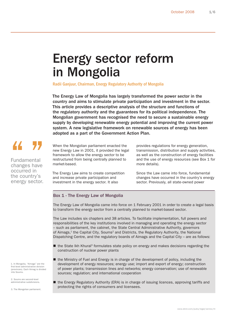### Energy sector reform in Mongolia

Radii Ganjuur, Chairman, Energy Regulatory Authority of Mongolia

The Energy Law of Mongolia has largely transformed the power sector in the country and aims to stimulate private participation and investment in the sector. This article provides a descriptive analysis of the structure and functions of the regulatory authority and the guarantees for its political independence. The Mongolian government has recognised the need to secure a sustainable energy supply by developing renewable energy potential and improving the current power system. A new legislative framework on renewable sources of energy has been adopted as a part of the Government Action Plan.

### 44

**Fundamental** changes have occurred in the country's energy sector. When the Mongolian parliament enacted the new Energy Law in 2001, it provided the legal framework to allow the energy sector to be restructured from being centrally planned to market-based.

The Energy Law aims to create competition and increase private participation and investment in the energy sector. It also

provides regulations for energy generation, transmission, distribution and supply activities, as well as the construction of energy facilities and the use of energy resources (see Box 1 for more details).

Since the Law came into force, fundamental changes have occurred in the country's energy sector. Previously, all state-owned power

### Box 1 - The Energy Law of Mongolia

The Energy Law of Mongolia came into force on 1 February 2001 in order to create a legal basis to transform the energy sector from a centrally planned to market-based sector.

The Law includes six chapters and 38 articles. To facilitate implementation, full powers and responsibilities of the key institutions involved in managing and operating the energy sector – such as parliament, the cabinet, the State Central Administrative Authority, governors of Aimags,<sup>1</sup> the Capital City, Soums<sup>2</sup> and Districts, the Regulatory Authority, the National Dispatching Centre, and the regulatory boards of Aimags and the Capital City – are as follows:

- the State Ikh Khural<sup>3</sup> formulates state policy on energy and makes decisions regarding the construction of nuclear power plants
- the Ministry of Fuel and Energy is in charge of the development of policy, including the development of energy resources; energy use; import and export of energy; construction of power plants; transmission lines and networks; energy conservation; use of renewable sources; regulation; and international cooperation
- the Energy Regulatory Authority (ERA) is in charge of issuing licences, approving tariffs and protecting the rights of consumers and licensees.

1. In Mongolia, "Aimags" are the first-level administrative division (provinces). Each Aimag is divided into Soums.

2. Soums are second-level administrative subdivisions.

3. The Mongolian parliament.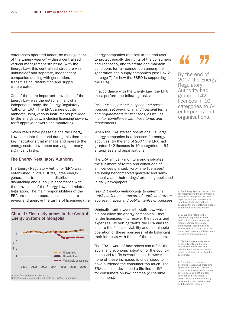enterprises operated under the management of the Energy Agency<sup>4</sup> within a centralised vertical management structure. With the Energy Law, this centralised structure was unbundled<sup>5</sup> and separate, independent companies dealing with generation, transmission, distribution and supply were created.

One of the more important provisions of the Energy Law was the establishment of an independent body, the Energy Regulatory Authority (ERA). The ERA carries out its mandate using various instruments provided by the Energy Law, including licensing powers, tariff approval powers and monitoring.

Seven years have passed since the Energy Law came into force and during this time the key institutions that manage and operate the energy sector have been carrying out many significant tasks.

#### The Energy Regulatory Authority

The Energy Regulatory Authority (ERA) was established in 2001. It regulates energy generation, transmission, distribution, dispatching and supply in accordance with the provisions of the Energy Law and related legislation. The main responsibilities of the ERA are to issue operational licences, to review and approve the tariffs of licensees (the

Chart 1: Electricity prices in the Central Energy System of Mongolia



Note: Prices are measured in US cents per kiloWatt-hour (kWh).

energy companies that sell to the end-user), to protect equally the rights of the consumers and licensees, and to create and maintain conditions for fair competition among the generation and supply companies (see Box 2 on page 7) for how the EBRD is supporting the ERA).

In accordance with the Energy Law, the ERA must perform the following tasks:

Task 1: Issue, amend, suspend and revoke licences, set operational and licensing terms and requirements for licensees, as well as monitor compliance with these terms and requirements.

When the ERA started operations, 18 large energy companies had licences for energy activities. By the end of 2007 the ERA had granted 142 licences in 10 categories to 64 enterprises and organisations.

The ERA annually monitors and evaluates the fulfilment of terms and conditions of all licences granted. Forty-nine licensees<sup>6</sup> are being benchmarked quarterly and semiannually, and their ratings<sup>7</sup> are being published in daily newspapers.

Task 2: Develop methodology to determine tariffs, define the structure of tariffs and review, approve, inspect and publish tariffs of licensees.

Originally, tariffs were artificially low, which did not allow the energy companies – that is, the licensees – to recover their costs and expenses. By setting tariffs the ERA aims to ensure the financial viability and sustainable operation of these licensees, while balancing their interests with those of the consumers.

The ERA, aware of how prices can affect the social and economic situation of the country, increased tariffs several times. However, none of these increases is understood to have burdened the consumer too much. The ERA has also developed a life-line tariff<sup>8</sup> for consumers on low incomes (vulnerable consumers).

By the end of By the end of<br>2007 the Energy<br>Pequlatory **Regulatory** Authority had granted 142 licences in 10 categories to 64 enterprises and organisations.

4. The Energy Agency is responsible for implementing the government's policies on energy use. Its main objective is to provide a reliable supply of electricity and heat, based on the most effective means of generation and distribution.

5. Unbundling refers to the "structural separation" of the various functions in an energy market, namely generation, transmission, distribution and supply. The separation applies to ownership, corporate affiliates and/ or management/accounting.

6. Eighteen large energy sector entities; twenty-four housing service companies with heat distribution licences; and seven small, local electricity distribution companies.

7. The ratings are assigned according to a ranking procedure approved by the ERA. They are based on licensees' performance criteria such as profit and loss, liabilities and receivables, a power plant's internal electricity consumption rate, transmission and distribution losses.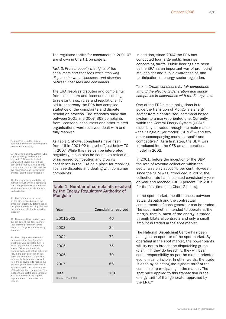The regulated tariffs for consumers in 2001-07 are shown in Chart 1 on page 2.

Task 3: Protect equally the rights of the consumers and licensees while resolving disputes between licensees, and disputes between licensees and consumers.

The ERA resolves disputes and complaints from consumers and licensees according to relevant laws, rules and regulations. To aid transparency the ERA has compiled statistics of the complaints and dispute resolution process. The statistics show that between 2001 and 2007, 363 complaints from licensees, consumers and other related organisations were received, dealt with and fully resolved.

8. A tariff system that takes account of consumer income levels to ensure affordability.

9. The Central Energy System (CES) supplies energy to the capital city and 13 Aimags in central Mongolia. It covers over 90 per cent of the country's total energy consumption. In the CES there are five generation, one transmission and four distribution companies.

10. The single buyer model is the market through which electricity is sold from generators to one buyer which then sells that electricity on to distributors.

11. The spot market is based on the differences between the amount of electricity determined by the generation dispatching plan and the amount of electricity supplied in reality.

12. The competitive market is an auction among the generators of their offered generation tariffs based on the growth of electricity demand.

13. The 100 per cent collection rate means that fees for billed electricity were collected fully in 2007. Any additional percentage above 100 per cent refers to revenue that could not be collected fully in the previous year. In this case, the additional 0.3 per cent represents the amount received from the consumers to reduce the previous year's receivable, which was recorded in the balance sheet of the distribution companies. This means that a distribution company was able to collect the unpaid payments from consumers one year on.

As Table 1 shows, complaints have risen from 46 in 2001-02 to level off just below 70 in 2007. While this rise can be interpreted negatively, it can also be seen as a reflection of increased competition and growing confidence in the ERA as a place for resolving licensee disputes and dealing with consumer complaints.

Table 1: Number of complaints resolved by the Energy Regulatory Authority of Mongolia

| Year              | <b>Complaints resolved</b> |
|-------------------|----------------------------|
| 2001-2002         | 46                         |
| 2003              | 34                         |
| 2004              | 72                         |
|                   |                            |
| 2005              | 75                         |
| 2006              | 70                         |
| 2007              | 66                         |
| Total             | 363                        |
| Source: ERA, 2008 |                            |

In addition, since 2004 the ERA has conducted four large public hearings concerning tariffs. Public hearings are seen by the ERA as an important way of promoting stakeholder and public awareness of, and participation in, energy sector regulation.

Task 4: Create conditions for fair competition among the electricity generation and supply companies in accordance with the Energy Law.

One of the ERA's main obligations is to guide the transition of Mongolia's energy sector from a centralised, command-based system to a market-oriented one. Currently, within the Central Energy System (CES),<sup>9</sup> electricity is traded through the main market – the "single buyer model"  $(SBM)^{10}$  – and two other accompanying markets:  $spot^{11}$  and competitive. $12$  As a first step, the SBM was introduced into the CES as an operational model in 2002.

In 2001, before the inception of the SBM, the rate of revenue collection within the sector was only about 75 per cent. However, since the SBM was introduced in 2002, the collection rate has increased consistently yearon-year and reached  $100.3$  percent $^{13}$  in 2007 for the first time (see Chart 2 below).

In the spot market, the differences between actual dispatch and the contractual commitments of each generator can be traded. The spot market is intended to operate at the margin, that is, most of the energy is traded through bilateral contracts and only a small amount is traded in the spot market.

The National Dispatching Centre has been acting as an operator of the spot market. By operating in the spot market, the power plants will try not to breach the dispatching graph (plan). $14$  If they do breach it, they will bear some responsibility as per the market-oriented economical principle. In other words, the trade is done by selecting the highest tariff of the companies participating in the market. The spot price applied to this transaction is the energy tariff of that generator approved by the ERA.15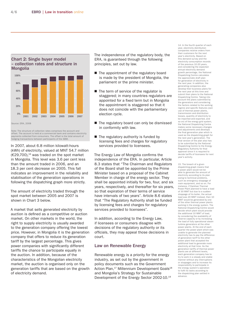



Note: The structure of collection rates comprises the account and offset. The account is held at a commercial bank and contains electricity payments collected from consumers. The offset is the total amount of hedging transactions between participants of the SBM.

In 2007, about 6.8 million kilowatt-hours (kWh) of electricity, valued at MNT 54.7 million  $(E29,700)$ ,<sup>16</sup> was traded on the spot market in Mongolia. This level was 3.6 per cent less than the amount traded in 2006, and an 18.3 per cent decrease on 2005. This fall indicates an improvement in the reliability and stabilisation of the generation operations in following the dispatching graph more strictly.

The amount of electricity traded through the spot market between 2005 and 2007 is shown in Chart 3 below.

A market that sells generated electricity by auction is defined as a competitive or auction market. On other markets in the world, the right to supply electricity is usually awarded to the generation company offering the lowest price. However, in Mongolia it is the generation company that offers to reduce its generation tariff by the largest percentage. This gives power companies with significantly different tariffs the chance to participate equally in the auction. In addition, because of the characteristics of the Mongolian electricity market, the auction is organised only on the generation tariffs that are based on the growth of electricity demand.

The independence of the regulatory body, the ERA, is guaranteed through the following principles, set out by law.

- The appointment of the regulatory board is made by the president of Mongolia, the parliament or the prime minister.
- The term of service of the regulator is staggered; in many countries regulators are appointed for a fixed term but in Mongolia the appointment is staggered so that it does not coincide with the parliamentary election cycle.
- The regulatory board can only be dismissed in conformity with law.
- The regulatory authority is funded by licensing fees and charges for regulatory services provided to licensees.

The Energy Law of Mongolia confirms the independence of the ERA. In particular, Article 8.3 states that "The Chairman and Regulators of the Board shall be appointed by the Prime Minister based on a proposal of the Cabinet Member in charge of the energy sector. They shall be appointed initially for two, four, and six years, respectively, and thereafter for six years, so that expiration of their terms of service have intervals of two years". Article 8.6 states that "The Regulatory Authority shall be funded by licensing fees and charges for regulatory services provided to licensees".

In addition, according to the Energy Law, if licensees or consumers disagree with decisions of the regulatory authority or its officials, they may appeal those decisions in court.

#### Law on Renewable Energy

Renewable energy is a priority for the energy industry, as set out by the government in policy documents such as the Government Action Plan,<sup>17</sup> Millennium Development Goals<sup>18</sup> and Mongolia's Strategy for Sustainable Development of the Energy Sector 2002-10.19

14. In the fourth quarter of each year, electricity distribution companies receive orders from their customers for the next year's electricity. Based on this demand survey and the electricity consumption records of the previous 10-20 years, and considering the expected annual electricity demand growth percentage, the National Dispatching Centre calculates the approximate draft plan for generation of electricity in the next year. In addition, the generating companies also develop their business plans for the next year at this time and submit their plans to the National Dispatching Centre. Taking into account the plans submitted by the generators and considering the factors related to the working regime and specific features (own use of thermal power plants, transmission and distribution losses, quantity of electricity to be imported and exported, and so on) of the energy grid system, the National Dispatching Centre makes some necessary changes and adjustments and develops the final generation plan which is used as the dispatching graph for the next year's generation. The final version of the plan also has to be submitted by the National Dispatching Centre to the Energy Regulatory Authority for final approval since it is required to decide tariffs of licensees for next year's activity.

15. The breach of a given dispatching graph means that a nower plant would not be able to generate the amount of electricity according to its plan owing to technical problems, such as emergency stoppage of main equipment, and so on. For instance, if Darkhan Thermal Power Plant planned to have a load of 30 MWT but due to a sudden stoppage of its boiler, the actual load was 20 MWT instead, then 10 MWT would be generated by one of the other thermal power plants working in the energy system. The National Dispatching Centre would decide which plant would provide the additional 10 MWT of load, by considering the availability of<br>reserve capacity or by increasing reserve capacity or by increa the load of fully operational steam turbine generators at the other power plants. At the end of each quarter the power plant which was unable to generate the planned electricity has to pay the difference of generation tariff to the other power plant that accepted the additional load to generate more electricity at that time. As the generation tariffs of thermal power plants are at different levels, each generation company has to try to work in a steady and stable manner without any interruptions or stoppages and to increase its responsibility to participate in the energy system's operation to fulfil its tasks according to the dispatching plan settled in advance.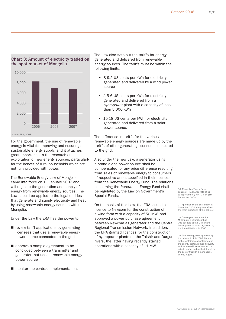

Source: ERA, 2008

For the government, the use of renewable energy is vital for improving and securing a sustainable energy supply, and it attaches great importance to the research and exploitation of new energy sources, particularly for the benefit of rural households which are not fully provided with power.

The Renewable Energy Law of Mongolia came into force on 11 January 2007 and will regulate the generation and supply of energy from renewable energy sources. The Law should be applied to the legal entities that generate and supply electricity and heat by using renewable energy sources within Mongolia.

Under the Law the ERA has the power to:

- $\blacksquare$  review tariff applications by generating licensees that use a renewable energy power source connected to the grid
- **E** approve a sample agreement to be concluded between a transmitter and generator that uses a renewable energy power source
- **n** monitor the contract implementation.

The Law also sets out the tariffs for energy generated and delivered from renewable energy sources. The tariffs must be within the following limits:

- 8-9.5 US cents per kWh for electricity generated and delivered by a wind power source
- 4.5-6 US cents per kWh for electricity generated and delivered from a hydropower plant with a capacity of less than 5,000 kWh
- **15-18 US cents per kWh for electricity** generated and delivered from a solar power source.

The difference in tariffs for the various renewable energy sources are made up by the tariffs of other generating licensees connected to the grid.

Also under the new Law, a generator using a stand-alone power source shall be compensated for any price difference resulting from sales of renewable energy to consumers of respective areas specified in their licences from the Renewable Energy Fund. The relations concerning the Renewable Energy Fund shall be regulated by the Law on Government's Special Funds.

On the basis of this Law, the ERA issued a licence to Newcom for the construction of a wind farm with a capacity of 50 MW, and approved a power purchase agreement between Newcom as generator and the Central Regional Transmission Network. In addition, the ERA granted licences for the construction of hydropower plants on the Taishir and Durgun rivers, the latter having recently started operations with a capacity of 11 MW.

16. Mongolian Togrog (local currency). Exchange rate of €1 to approximately MNT 1,634 (5th September 2008).

17. Approved by the parliament in November 2004, the plan defines the main objectives of the Cabinet.

18. These goals endorse the Millennium Declaration that was adopted at the Millennium Development Summit organised by the United Nations in 2000.

19. This strategy was approved by the cabinet in July 2002. Its aim is the sustainable development of the energy sector, reduced poverty and increased involvement of the private sector and public interest in the sector through a more secure energy supply.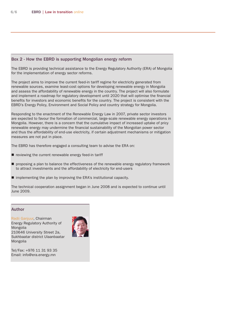### Box 2 - How the EBRD is supporting Mongolian energy reform

The EBRD is providing technical assistance to the Energy Regulatory Authority (ERA) of Mongolia for the implementation of energy sector reforms.

The project aims to improve the current feed-in tariff regime for electricity generated from renewable sources, examine least-cost options for developing renewable energy in Mongolia and assess the affordability of renewable energy in the country. The project will also formulate and implement a roadmap for regulatory development until 2020 that will optimise the financial benefits for investors and economic benefits for the country. The project is consistent with the EBRD's Energy Policy, Environment and Social Policy and country strategy for Mongolia.

Responding to the enactment of the Renewable Energy Law in 2007, private sector investors are expected to favour the formation of commercial, large-scale renewable energy operations in Mongolia. However, there is a concern that the cumulative impact of increased uptake of pricy renewable energy may undermine the financial sustainability of the Mongolian power sector and thus the affordability of end-use electricity, if certain adjustment mechanisms or mitigation measures are not put in place.

The EBRD has therefore engaged a consulting team to advise the ERA on:

- **P** reviewing the current renewable energy feed-in tariff
- **P** proposing a plan to balance the effectiveness of the renewable energy regulatory framework to attract investments and the affordability of electricity for end-users
- **I** implementing the plan by improving the ERA's institutional capacity.

The technical cooperation assignment began in June 2008 and is expected to continue until June 2009.

#### Author

Radii Ganjuur, Chairman Energy Regulatory Authority of Mongolia 210646 University Street 2a, Sukhbaatar district Ulaanbaatar Mongolia



Tel/Fax: +976 11 31 93 35 Email: info@era.energy.mn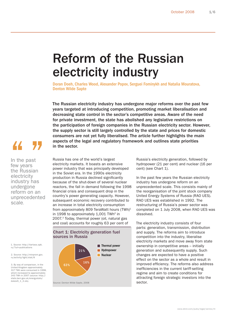### Reform of the Russian electricity industry

Doran Doeh, Charles Wood, Alexander Popov, Serguei Fominykh and Natalia Mouratova, Denton Wilde Sapte

The Russian electricity industry has undergone major reforms over the past few years targeted at introducing competition, promoting market liberalisation and decreasing state control in the sector's competitive areas. Aware of the need for private investment, the state has abolished any legislative restrictions on the participation of foreign companies in the Russian electricity sector. However, the supply sector is still largely controlled by the state and prices for domestic consumers are not yet fully liberalised. The article further highlights the main aspects of the legal and regulatory framework and outlines state priorities

consumers a<br>
aspects of the<br>
in the sector.<br>
In the past<br>
few years<br>
the Russian<br>
power industry In the past

few years the Russian electricity industry has undergone reform on an unprecedented scale.

Russia has one of the world's largest electricity markets. It boasts an extensive power industry that was principally developed in the Soviet era. In the 1990s electricity production in Russia declined significantly because of the shut-down of several nuclear reactors, the fall in demand following the 1998 financial crisis and consequent drop in the country's power generating capacity. However, subsequent economic recovery contributed to an increase in total electricity consumption from approximately 809 TeraWatt hours  $(TWh)^1$ in 1998 to approximately 1,001 TWh<sup>2</sup> in 2007.3 Today, thermal power (oil, natural gas and coal) accounts for roughly 63 per cent of



Chart 1: Electricity generation fuel

Russia's electricity generation, followed by hydropower (21 per cent) and nuclear (16 per cent) (see Chart 1).

In the past few years the Russian electricity industry has undergone reform on an unprecedented scale. This consists mainly of the reorganisation of the joint stock company United Energy Systems of Russia (RAO UES). RAO UES was established in 1992. The restructuring of Russia's power sector was completed on 1 July 2008, when RAO UES was dissolved.

The electricity industry consists of four parts: generation, transmission, distribution and supply. The reforms aim to introduce competition into the industry, liberalise electricity markets and move away from state ownership in competitive areas – initially generation and subsequently supply. Such changes are expected to have a positive effect on the sector as a whole and result in improved efficiency. The reforms also address inefficiencies in the current tariff-setting regime and aim to create conditions for attracting foreign strategic investors into the sector.

1. Source: http://itartass.spb. ru/?url=publications

2. Source: http://minprom.gov. ru/activity/light/stat/8

3. By way of comparison, in the United Kingdom approximately 317 TWh were consumed in 1998, which increased to approximately 343 TWh in 2007 (source: http:// stats.berr.gov.uk/energystats/ dukes $5\overline{1}$ ,  $\overline{2}$ .xls).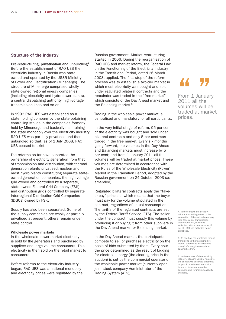#### Structure of the industry

Pre-restructuring, privatisation and unbundling4 Before the establishment of RAO UES the electricity industry in Russia was state owned and operated by the USSR Ministry of Power and Electrification (Minenergo). The structure of Minenergo comprised wholly state-owned regional energy companies (including electricity and hydropower plants), a central dispatching authority, high-voltage transmission lines and so on.

In 1992 RAO UES was established as a state holding company by the state obtaining controlling stakes in the companies formerly held by Minenergo and basically maintaining the state monopoly over the electricity industry. RAO UES was partially privatised and then unbundled so that, as of 1 July 2008, RAO UES ceased to exist.

The reforms so far have separated the ownership of electricity generation from that of transmission and distribution, with thermal generation plants privatised, nuclear and most hydro plants constituting separate stateowned generation companies, the high voltage grid owned and controlled by a separate, state-owned Federal Grid Company (FSK) and distribution grids controlled by separate Interregional Distribution Grid Companies (IDGCs) owned by FSK.

Supply has also been separated. Some of the supply companies are wholly or partially privatised at present; others remain under state control.

#### Wholesale power markets

In the wholesale power market electricity is sold by the generators and purchased by suppliers and large-volume consumers. This electricity is then sold on the retail market to consumers.

Before reforms to the electricity industry began, RAO UES was a national monopoly and electricity prices were regulated by the Russian government. Market restructuring started in 2006. During the reorganisation of RAO UES and market reform, the Federal Law on the Functioning of the Electricity Industry in the Transitional Period, dated 26 March 2003, applied. The first step of the reform process was to establish a two-tier market in which most electricity was bought and sold under regulated bilateral contracts and the remainder was traded in the "free market", which consists of the Day Ahead market and the Balancing market.<sup>5</sup>

Trading in the wholesale power market is centralised and mandatory for all participants.

In the very initial stage of reform, 95 per cent of the electricity was bought and sold under bilateral contracts and only 5 per cent was traded in the free market. Every six months going forward, the volumes in the Day Ahead and Balancing markets must increase by 5 per cent; and from 1 January 2011 all the volumes will be traded at market prices. These volumes are determined in accordance with the Rules of the Wholesale Electricity (Power) Market in the Transition Period, adopted by the Russian government on 24 October 2003 (as amended).

Regulated bilateral contracts apply the "takeor-pay" principle, which means that the buyer must pay for the volume stipulated in the contract, regardless of actual consumption. The tariffs of the regulated contracts are set by the Federal Tariff Service (FTS). The seller under the contract must supply this volume by producing it or buying it from other suppliers in the Day Ahead market or Balancing market.

In the Day Ahead market, the participants compete to sell or purchase electricity on the basis of bids submitted by them. Every hour the price determined as the result of bidding for electrical energy (the clearing price in the auction) is set by the commercial operator of the wholesale power market (currently open joint stock company Administrator of the Trading System (ATS)).

### 44 77

From 1 January 2011 all the volumes will be traded at market prices.

4. In the context of electricity reform, unbundling refers to the separation of the natural monopoly into generation, transmission, distribution and/or supply activities, with a view to some, if not all, of these activities being privatised.

5. To see how the wholesale market transitions to the target market model, please see www.rao-ees. ru/en/reforming/market/show. cgi?market.htm.

6. In the context of the electricity industry, capacity usually relates to the capacity to generate electricity output. In a reformed electricity industry, generators may be compensated for making capacity available.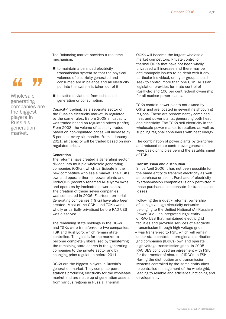The Balancing market provides a real-time mechanism:

- to maintain a balanced electricity transmission system so that the physical volumes of electricity generated and consumed are in balance and all electricity put into the system is taken out of it
- to settle deviations from scheduled generation or consumption.

Capacity<sup>6</sup> trading, as a separate sector of the Russian electricity market, is regulated by the same rules. Before 2008 all capacity was traded based on regulated prices (tariffs). From 2008, the volume of capacity traded based on non-regulated prices will increase by 5 per cent every six months. From 1 January 2011, all capacity will be traded based on nonregulated prices.

#### Generation

Wholesale generating companies are the biggest players in Russia's generation market.

44 Y.

The reforms have created a generating sector divided into multiple wholesale generating companies (OGKs), which participate in the new competitive wholesale market. The OGKs own and operate thermal power plants and HydroOGK (recently renamed RusHydro) owns and operates hydroelectric power plants. The creation of these seven companies was completed in 2006. Fourteen territorial generating companies (TGKs) have also been created. Most of the OGKs and TGKs were wholly or partially privatised before RAO UES was dissolved.

The remaining state holdings in the OGKs and TGKs were transferred to two companies, FSK and RusHydro, which remain state controlled. The goal is for the market to become completely liberalised by transferring the remaining state shares in the generating companies to the private sector and by changing price regulation before 2011.

OGKs are the biggest players in Russia's generation market. They comprise power stations producing electricity for the wholesale market and are made up of generation assets from various regions in Russia. Thermal

OGKs will become the largest wholesale market competitors. Private control of thermal OGKs that have not been wholly privatised will increase and there may be anti-monopoly issues to be dealt with if any particular individual, entity or group should seek to control more than one OGK. Russian legislation provides for state control of RusHydro and 100 per cent federal ownership for all nuclear power plants.

TGKs contain power plants not owned by OGKs and are located in several neighbouring regions. These are predominantly combined heat and power plants, generating both heat and electricity. The TGKs sell electricity in the wholesale power market to retailers as well as suppling regional consumers with heat energy.

The combination of power plants by territories and reduced state control over generation were basic principles behind the establishment of TGKs.

#### Transmission and distribution

Since April 2006 it has not been possible for the same entity to transmit electricity as well as purchase or sell it. Purchase of electricity by transmission companies is only permitted if those purchases compensate for transmission losses.

Following the industry reforms, ownership of all high voltage electricity networks belonging to the Unified National (All-Russian) Power Grid – an integrated legal entity of RAO UES that maintained electric grid facilities and provided services of electricity transmission through high voltage grids – was transferred to FSK, which will remain under state control. Interregional distribution grid companies (IDGCs) own and operate high voltage transmission grids. In 2005 RAO UES concluded an agreement with FSK for the transfer of shares of IDGCs to FSK. Having the distribution and transmission systems controlled by the same entity aims to centralise management of the whole grid, leading to reliable and efficient functioning and development.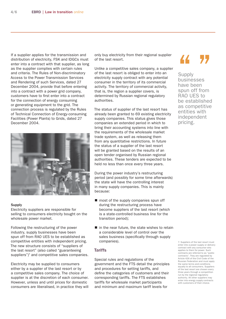If a supplier applies for the transmission and distribution of electricity, FSK and IDGCs must enter into a contract with that supplier, as long as the supplier complies with certain rules and criteria. The Rules of Non-discriminatory Access to the Power Transmission Services and Rendering of such Services, dated 27 December 2004, provide that before entering into a contract with a power grid company, customers have to first enter into a contract for the connection of energy consuming or generating equipment to the grid. The connection process is regulated by the Rules of Technical Connection of Energy-consuming Facilities (Power Plants) to Grids, dated 27 December 2004.



#### **Supply**

Electricity suppliers are responsible for selling to consumers electricity bought on the wholesale power market.

Following the restructuring of the power industry, supply businesses have been spun off from RAO UES to be established as competitive entities with independent pricing. The new structure consists of "suppliers of the last resort" (also called "guaranteeing suppliers") $<sup>7</sup>$  and competitive sales companies.</sup>

Electricity may be supplied to consumers either by a supplier of the last resort or by a competitive sales company. The choice of supplier is at the discretion of each consumer. However, unless and until prices for domestic consumers are liberalised, in practice they will only buy electricity from their regional supplier of the last resort.

Unlike a competitive sales company, a supplier of the last resort is obliged to enter into an electricity supply contract with any potential consumer in the territory of its commercial activity. The territory of commercial activity, that is, the region a supplier covers, is determined by Russian regional regulatory authorities.

The status of supplier of the last resort has already been granted to 69 existing electricity supply companies. This status gives those companies an extended period in which to bring their accounting systems into line with the requirements of the wholesale market trade system, as well as releasing them from any quantitative restrictions. In future the status of a supplier of the last resort will be granted based on the results of an open tender organised by Russian regional authorities. These tenders are expected to be held no less than once every three years.

During the power industry's restructuring period (and possibly for some time afterwards) the state will have the controlling interest in many supply companies. This is mainly because:

- most of the supply companies spun off during the restructuring process have become suppliers of the last resort (which is a state-controlled business line for the transition period);
- $\blacksquare$  in the near future, the state wishes to retain a considerable level of control over the sales business (specifically through supply companies).

### **Tariffs**

Special rules and regulations of the government and the FTS detail the principles and procedures for setting tariffs, and define the categories of customers and their corresponding tariffs. The FTS establishes tariffs for wholesale market participants and minimum and maximum tariff levels for

### " "

**Supply** businesses have been spun off from RAO UES to be established as competitive entities with independent pricing.

7. Suppliers of the last resort must enter into a power supply or delivery contract with any consumer who applies to them for power. Such contracts are referred to as "public contracts". They are regulated by Article 426 of the Civil Code of the Russian Federation and must apply the same terms and conditions equally to all consumers. Suppliers of the last resort are chosen every three years through a competition run by the regional regulatory authority. All other suppliers may enter into energy supply contracts with customers of their choice.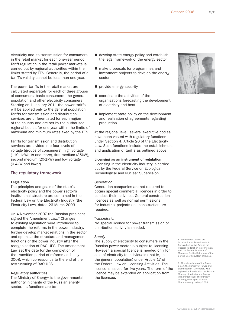electricity and its transmission for consumers in the retail market for each one-year period. Tariff regulation in the retail power markets is carried out by regional authorities within the limits stated by FTS. Generally, the period of a tariff's validity cannot be less than one year.

The power tariffs in the retail market are calculated separately for each of three groups of consumers: basic consumers, the general population and other electricity consumers. Starting on 1 January 2011 the power tariffs will be applied only to the general population. Tariffs for transmission and distribution services are differentiated for each region of the country and are set by the authorised regional bodies for one year within the limits of maximum and minimum rates fixed by the FTS.

Tariffs for transmission and distribution services are divided into four levels of voltage (groups of consumers): high voltage (110kiloWatts and more), first medium (35kW), second medium (20-1kW) and low voltage (0.4kW and lower).

### The regulatory framework

#### Legislation

The principles and goals of the state's electricity policy and the power sector's institutional structure are contained in the Federal Law on the Electricity Industry (the Electricity Law), dated 26 March 2003.

On 4 November 2007 the Russian president signed the Amendment Law.<sup>8</sup> Changes to existing legislation were introduced to complete the reforms in the power industry, further develop market relations in the sector and optimise the structure and management functions of the power industry after the reorganisation of RAO UES. The Amendment Law set the date for the completion of the transition period of reforms as 1 July 2008, which corresponds to the end of the restructuring of RAO UES.

#### Regulatory authorities

The Ministry of Energy $9$  is the governmental authority in charge of the Russian energy sector. Its functions are to:

- develop state energy policy and establish the legal framework of the energy sector
- make proposals for programmes and investment projects to develop the energy sector
- provide energy security
- coordinate the activities of the organisations forecasting the development of electricity and heat
- $\blacksquare$  implement state policy on the development and realisation of agreements regarding production.

At the regional level, several executive bodies have been vested with regulatory functions under Section 4, Article 20 of the Electricity Law. Such functions include the establishment and application of tariffs as outlined above.

Licensing as an instrument of regulation Licensing in the electricity industry is carried out by the Federal Service on Ecological, Technological and Nuclear Supervision.

#### Generation

Generation companies are not required to obtain special commercial licences in order to conduct their activities. General construction licences as well as normal permissions for industrial projects and construction are required.

#### **Transmission**

No special licence for power transmission or distribution activity is needed.

#### Supply

The supply of electricity to consumers in the Russian power sector is subject to licensing. However, a special licence is needed only for sale of electricity to individuals (that is, to the general population) under Article 17 of the Federal Law on Licensing Activities. The licence is issued for five years. The term of the licence may be extended on application from the licensee.

8. The Federal Law On the Introduction of Amendments to Certain Legislative Acts of the Russian Federation in connection with the Accomplishment of Measures for the Reforming of the Unified Energy System of Russia.

9. After dissolution of the Soviet Union, the Ministry of Power and Electrification (Minenergo) was<br>replaced in Russia with the Russian Ministry of Industry and Energy (Minpromenergo). The Ministry of Energy was spun off from Minpromenergo in May 2008.

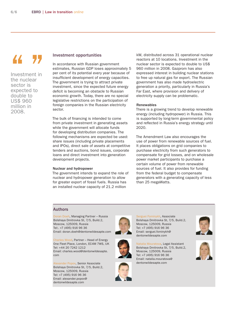# T

Investment in the nuclear sector is expected to double to US\$ 960 million in 2008.

#### Investment opportunities

In accordance with Russian government estimates, Russian GDP loses approximately 5 per cent of its potential every year because of insufficient development of energy capacities. The government is trying to attract private investment, since the expected future energy deficit is becoming an obstacle to Russian economic growth. Today, there are no special legislative restrictions on the participation of foreign companies in the Russian electricity sector.

The bulk of financing is intended to come from private investment in generating assets while the government will allocate funds for developing distribution companies. The following mechanisms are expected be used: share issues (including private placements and IPOs), direct sale of assets at competitive tenders and auctions, bond issues, corporate loans and direct investment into generation development projects.

#### Nuclear and hydropower

The government intends to expand the role of nuclear and hydropower generation to allow for greater export of fossil fuels. Russia has an installed nuclear capacity of 21.2 million

kW, distributed across 31 operational nuclear reactors at 10 locations. Investment in the nuclear sector is expected to double to US\$ 960 million in 2008. Gazprom has also expressed interest in building nuclear stations to free up natural gas for export. The Russian government has also made hydroelectric generation a priority, particularly in Russia's Far East, where provision and delivery of electricity supply can be problematic.

#### Renewables

There is a growing trend to develop renewable energy (including hydropower) in Russia. This is supported by long-term governmental policy and reflected in Russia's energy strategy until 2020.

The Amendment Law also encourages the use of power from renewable sources of fuel. It places obligations on grid companies to purchase electricity from such generators to compensate for grid losses, and on wholesale power market participants to purchase a certain volume of power from renewable sources of fuel. It also provides for funding from the federal budget to compensate generators with a generating capacity of less than 25 megaWatts.

#### Authors

Doran Doeh, Managing Partner – Russia Bolshaya Dmitrovka St, 7/5, Build.2, Moscow, 125009, Russia Tel:. +7 (495) 916 96 36 Email: doran.doeh@dentonwildesapte.com

Charles Wood, Partner – Head of Energy One Fleet Place, London, EC4M 7WS, UK Tel: +44 20 7242 1212 Email: charles.wood@dentonwildesapte. com

Alexander Popov, Senior Associate Bolshaya Dmitrovka St, 7/5, Build.2, Moscow, 125009, Russia Tel: +7 (495) 916 96 36 Email: alexander.popov@ dentonwildesapte.com





Serguei Fominykh, Associate Bolshaya Dmitrovka St, 7/5, Build.2, Moscow, 125009, Russia Tel: +7 (495) 916 96 36 Email: serguei.fominykh@ dentonwildesapte.com

Natalia Mouratova, Legal Assistant Bolshaya Dmitrovka St, 7/5, Build.2, Moscow, 125009, Russia Tel: +7 (495) 916 96 36 Email: natalia.mouratova@ dentonwildesapte.com





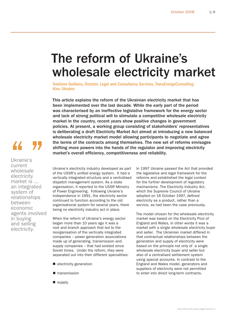### The reform of Ukraine's wholesale electricity market

Svetlana Golikova, Director, Legal and Consultancy Services, TransEnergoConsulting, Kiev, Ukraine

This article explains the reform of the Ukrainian electricity market that has been implemented over the last decade. While the early part of the period was characterised by an ineffective legislative framework for the energy sector and lack of strong political will to stimulate a competitive wholesale electricity market in the country, recent years show positive changes in government policies. At present, a working group consisting of stakeholders' representatives is deliberating a draft Electricity Market Act aimed at introducing a new balanced wholesale electricity market model allowing participants to negotiate and agree the terms of the contracts among themselves. The new set of reforms envisages shifting more powers into the hands of the regulator and improving electricity market's overall efficiency, competitiveness and reliability.

44

Ukraine's current wholesale electricity market is ... an integrated system of relationships between economic agents involved in buying and selling electricity.

Ukraine's electricity industry developed as part of the USSR's unified energy system. It had a vertically integrated structure and a centralised dispatch management system. As a state organisation, it reported to the USSR Ministry of Power Engineering. Following Ukraine's independence in 1991, the electricity sector continued to function according to the old organisational system for several years, there being no electricity industry act in place.

When the reform of Ukraine's energy sector began more than 10 years ago it was a root and branch approach that led to the reorganisation of the vertically integrated companies – power generation associations made up of generating, transmission and supply companies – that had existed since Soviet times. Under the reform, they were separated out into their different specialities:

- electricity generation
- **T** transmission
- supply.

In 1997 Ukraine passed the Act that provided the legislative and legal framework for the reforms and established the legal context for the further development of regulatory mechanisms. The Electricity Industry Act, which the Supreme Council of Ukraine adopted on 16 October 1997, defined electricity as a product, rather than a service, as had been the case previously.

The model chosen for the wholesale electricity market was based on the Electricity Pool of England and Wales, in other words it was a market with a single wholesale electricity buyer and seller. The Ukrainian market differed in that contractual relationships between the generation and supply of electricity were based on the principle not only of a single wholesale electricity buyer and seller but also of a centralised settlement system using special accounts. In contrast to the England and Wales model, generators and suppliers of electricity were not permitted to enter into direct long-term contracts.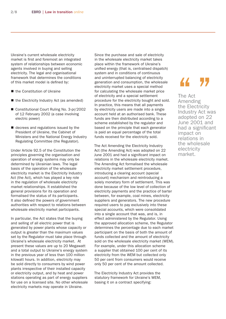Ukraine's current wholesale electricity market is first and foremost an integrated system of relationships between economic agents involved in buying and selling electricity. The legal and organisational framework that determines the conditions of this market model is defined by:

- the Constitution of Ukraine
- the Electricity Industry Act (as amended)
- Constitutional Court Ruling No. 3-pr/2002 of 12 February 2002 (a case involving electric power)
- decrees and regulations issued by the President of Ukraine, the Cabinet of Ministers and the National Energy Industry Regulating Committee (the Regulator).

Under Article 92.5 of the Constitution the principles governing the organisation and operation of energy systems may only be determined by Ukrainian laws. The legal basis of the operation of the wholesale electricity market is the Electricity Industry Act (the Act), which has played a key role in the regulation of wholesale electricity market relationships. It established the general provisions for its operation and formalised the status of its participants. It also defined the powers of government authorities with respect to relations between wholesale electricity market participants.

In particular, the Act states that the buying and selling of all electric power that is generated by power plants whose capacity or output is greater than the maximum values set by the Regulator must take place through Ukraine's wholesale electricity market. At present these values are up to 20 Megawatt and a total output to Ukraine's energy system in the previous year of less than 100 million kilowatt hours. In addition, electricity may be sold directly to consumers by wind power plants irrespective of their installed capacity or electricity output, and by heat and power stations operating as part of energy suppliers for use on a licensed site. No other wholesale electricity markets may operate in Ukraine.

Since the purchase and sale of electricity in the wholesale electricity market takes place within the framework of Ukraine's unified energy (that is, centralised dispatch) system and in conditions of continuous and uninterrupted balancing of electricity generation and consumption, the wholesale electricity market uses a special method for calculating the wholesale market price of electricity and a special settlement procedure for the electricity bought and sold. In practice, this means that all payments by electricity users are made into a single account held at an authorised bank. These funds are then distributed according to a scheme established by the regulator and based on the principle that each generator is paid an equal percentage of the total funds received for the electricity sold.

The Act Amending the Electricity Industry Act (the Amending Act) was adopted on 22 June 2001 and had a significant impact on relations in the wholesale electricity market. The Amending Act formalised the wholesale electricity market settlement procedure, introducing a clearing account (special account) mechanism and reintroducing a solely monetary form of settlement. This was done because of the low level of collection of electricity payments and the practice of barter between, for example, coal mines, electricity suppliers and generators. The new procedure required users to pay exclusively into these special accounts, which were consolidated into a single account that was, and is, in effect administered by the Regulator. Using the approved allocation scheme, the Regulator determines the percentage due to each market participant on the basis of both the amount of funds collected and the amount of electricity sold on the wholesale electricity market (WEM). For example, under this allocation scheme a supplier that obtained 100 per cent of its electricity from the WEM but collected only 50 per cent from consumers would receive only 50 per cent of the amount collected.

The Electricity Industry Act provides the statutory framework for Ukraine's WEM, basing it on a contract specifying:

The Act Amending The Act<br>The Act<br>Amending<br>the Electricity Industry Act was adopted on 22 June 2001 and had a significant impact on relations in the wholesale electricity market.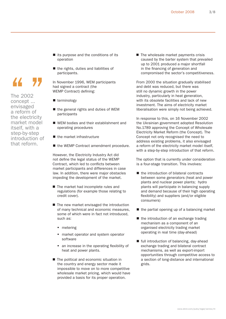- $\blacksquare$  its purpose and the conditions of its operation
- $\blacksquare$  the rights, duties and liabilities of participants.

In November 1996, WEM participants had signed a contract (the WEMP Contract) defining:

- **terminology**
- $\blacksquare$  the general rights and duties of WEM participants
- WEM bodies and their establishment and operating procedures
- $\blacksquare$  the market infrastructure
- the WEMP Contract amendment procedure.

However, the Electricity Industry Act did not define the legal status of the WEMP Contract, which led to conflicts between market participants and differences in case law. In addition, there were major obstacles impeding the development of the market.

- The market had incomplete rules and regulations (for example those relating to credit cover).
- The new market envisaged the introduction of many technical and economic measures, some of which were in fact not introduced, such as:
	- **netering**
	- **narket operator and system operator** software
	- an increase in the operating flexibility of heat and power plants.
- The political and economic situation in the country and energy sector made it impossible to move on to more competitive wholesale market pricing, which would have provided a basis for its proper operation.

 $\blacksquare$  The wholesale market payments crisis caused by the barter system that prevailed up to 2001 produced a major shortfall in the financing of generation and compromised the sector's competitiveness.

From 2000 the situation gradually stabilised and debt was reduced, but there was still no dynamic growth in the power industry, particularly in heat generation, with its obsolete facilities and lack of new investment. The aims of electricity market liberalisation were simply not being achieved.

In response to this, on 16 November 2002 the Ukrainian government adopted Resolution No.1789 approving the Concept of Wholesale Electricity Market Reform (the Concept). The Concept not only recognised the need to address existing problems, it also envisaged a reform of the electricity market model itself, with a step-by-step introduction of that reform.

The option that is currently under consideration is a four-stage transition. This involves:

- the introduction of bilateral contracts between some generators (heat and power plants and nuclear power plants; hydro plants will participate in balancing supply and demand because of their high operating flexibility) and suppliers (and/or eligible consumers)
- the partial opening up of a balancing market
- the introduction of an exchange trading mechanism as a component of an organised electricity trading market operating in real time (day-ahead)
- full introduction of balancing, day-ahead exchange trading and bilateral contract mechanisms, as well as export-import opportunities through competitive access to a section of long-distance and international grids.

www.ebrd.com/pubs/legal/series/lit

The 2002 concept ... envisaged a reform of the electricity market model itself, with a step-by-step introduction of that reform.

44 Y.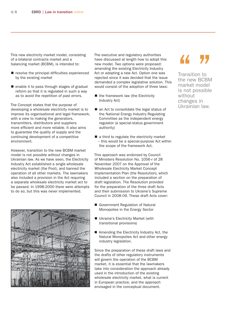This new electricity market model, consisting of a bilateral contracts market and a balancing market (BCBM), is intended to:

- $\blacksquare$  resolve the principal difficulties experienced by the existing market
- enable it to pass through stages of gradual reform so that it is regulated in such a way as to avoid the repetition of past errors.

The Concept states that the purpose of developing a wholesale electricity market is to improve its organisational and legal framework, with a view to making the generators, transmitters, distributors and suppliers more efficient and more reliable. It also aims to guarantee the quality of supply and the continuing development of a competitive environment.

However, transition to the new BCBM market model is not possible without changes in Ukrainian law. As we have seen, the Electricity Industry Act established a single wholesale electricity market (the Pool), and banned the operation of all other markets. The lawmakers also included a provision in the Act requiring a separate wholesale electricity market act to be passed. In 1998-2000 there were attempts to do so, but this was never implemented.



The executive and regulatory authorities have discussed at length how to adopt this new model. Two options were proposed: amending the existing Electricity Industry Act or adopting a new Act. Option one was rejected since it was decided that the issue demanded a complex legislative solution. This would consist of the adoption of three laws:

- the framework law (the Electricity Industry Act)
- an Act to consolidate the legal status of the National Energy Industry Regulating Committee as the independent energy regulator (a special-status government authority)
- a third to regulate the electricity market – this would be a special-purpose Act within the scope of the framework Act.

This approach was endorsed by Council of Ministers Resolution No. 1056-r of 28 November 2007 on the Approval of the Wholesale Electricity Market Concept Implementation Plan (the Resolution), which included a section on the preparation of draft legislation. The Resolution provided for the preparation of the three draft Acts and their submission to Ukraine's Supreme Council in 2008-09. These draft Acts cover:

- Government Regulation of Natural Monopolies in the Energy Sector
- **Ukraine's Electricity Market (with** transitional provisions)
- Amending the Electricity Industry Act, the Natural Monopolies Act and other energy industry legislation.

Since the preparation of these draft laws and the drafts of other regulatory instruments will govern the operation of the BCBM market, it is essential that the lawmakers take into consideration the approach already used in the introduction of the existing wholesale electricity market, what is current in European practice, and the approach envisaged in the conceptual document.

### 44 77

Transition to the new BCBM market model is not possible without changes in Ukrainian law.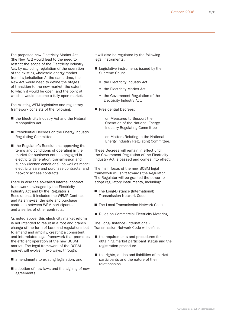The proposed new Electricity Market Act (the New Act) would lead to the need to restrict the scope of the Electricity Industry Act, by excluding regulation of the operation of the existing wholesale energy market from its jurisdiction At the same time, the New Act would need to define the stages of transition to the new market, the extent to which it would be open, and the point at which it would become a fully open market.

The existing WEM legislative and regulatory framework consists of the following:

- the Electricity Industry Act and the Natural Monopolies Act
- Presidential Decrees on the Energy Industry Regulating Committee
- the Regulator's Resolutions approving the terms and conditions of operating in the market for business entities engaged in electricity generation, transmission and supply (licence conditions), as well as model electricity sale and purchase contracts, and network access contracts.

There is also the so-called internal contract framework envisaged by the Electricity Industry Act and by the Regulator's Resolutions. It includes the WEMP Contract and its annexes, the sale and purchase contracts between WEM participants and a series of other contracts.

As noted above, this electricity market reform is not intended to result in a root and branch change of the form of laws and regulations but to amend and amplify, creating a consistent and interrelated legal framework that promotes the efficient operation of the new BCBM market. The legal framework of the BCBM market will evolve in two ways, through:

- amendments to existing legislation, and
- adoption of new laws and the signing of new agreements.

It will also be regulated by the following legal instruments.

- Legislative instruments issued by the Supreme Council:
	- **the Electricity Industry Act**
	- **the Electricity Market Act**
	- **the Government Regulation of the** Electricity Industry Act.
- Presidential Decrees:

on Measures to Support the Operation of the National Energy Industry Regulating Committee

on Matters Relating to the National Energy Industry Regulating Committee.

These Decrees will remain in effect until the Government Regulation of the Electricity Industry Act is passed and comes into effect.

The main focus of the new BCBM legal framework will shift towards the Regulator. The Regulator will be granted the power to adopt regulatory instruments, including:

- The Long-Distance (International) Transmission Network Code
- The Local Transmission Network Code
- Rules on Commercial Electricity Metering.

The Long-Distance (International) Transmission Network Code will define:

- $\blacksquare$  the requirements and procedures for obtaining market participant status and the registration procedure
- $\blacksquare$  the rights, duties and liabilities of market participants and the nature of their relationships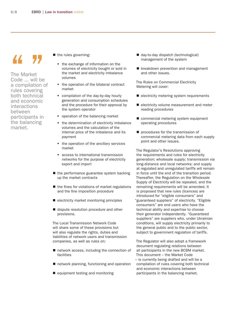# 44 Y.

The Market Code ... will be a compilation of rules covering both technical and economic interactions between participants in the balancing market.

- the rules governing:
	- the exchange of information on the volumes of electricity bought or sold in the market and electricity imbalance volumes
	- the operation of the bilateral contract market
	- compilation of the day-by-day hourly generation and consumption schedules and the procedure for their approval by the system operator
	- **peration of the balancing market**
	- the determination of electricity imbalance volumes and the calculation of the internal price of the imbalance and its payment
	- the operation of the ancillary services market
	- **access to international transmission** networks for the purpose of electricity export and import
- the performance guarantee system backing up the market contracts
- $\blacksquare$  the fines for violations of market regulations and the fine imposition procedure
- electricity market monitoring principles
- dispute resolution procedure and other provisions.

The Local Transmission Network Code will share some of these provisions but will also regulate the rights, duties and liabilities of network users and transmission companies, as well as rules on:

- network access, including the connection of facilities
- network planning, functioning and operation
- equipment testing and monitoring
- day-to-day dispatch (technological) management of the system
- **Demoglem** breakdown prevention and management and other issues.

The Rules on Commercial Electricity Metering will cover:

- electricity metering system requirements
- electricity volume measurement and meter reading procedures
- commercial metering system equipment operating procedures
- **procedures for the transmission of** commercial metering data from each supply point and other issues.

The Regulator's Resolutions approving the requirements and rules for electricity generation; wholesale supply; transmission via long-distance and local networks; and supply at regulated and unregulated tariffs will remain in force until the end of the transition period. Thereafter, the Regulation on the Wholesale Supply of Electricity will be repealed, and the remaining requirements will be amended. It is proposed that new rules (licences) are introduced for "eligible consumers" and "guaranteed suppliers" of electricity. "Eligible consumers" are end users who have the technical ability and expertise to choose their generator independently. "Guaranteed suppliers" are suppliers who, under Ukrainian conditions, will supply electricity primarily to the general public and to the public sector, subject to government regulation of tariffs.

The Regulator will also adopt a framework document regulating relations between all participants in the new BCBM market. This document – the Market Code – is currently being drafted and will be a compilation of rules covering both technical and economic interactions between participants in the balancing market.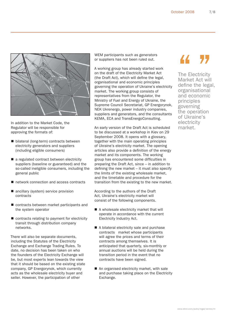

In addition to the Market Code, the Regulator will be responsible for approving the formats of:

- bilateral (long-term) contracts between electricity generators and suppliers (including eligible consumers)
- a regulated contract between electricity suppliers (baseline or guaranteed) and the so-called ineligible consumers, including the general public
- network connection and access contracts
- ancillary (system) service provision contracts
- contracts between market participants and the system operator
- contracts relating to payment for electricity transit through distribution company networks.

There will also be separate documents, including the Statutes of the Electricity Exchange and Exchange Trading Rules. To date, no decision has been taken on who the founders of the Electricity Exchange will be, but most experts lean towards the view that it should be based on the existing state company, GP Energorynok, which currently acts as the wholesale electricity buyer and seller. However, the participation of other

WEM participants such as generators or suppliers has not been ruled out.

A working group has already started work on the draft of the Electricity Market Act (the Draft Act), which will define the legal. organisational and economic principles governing the operation of Ukraine's electricity market. The working group consists of representatives from the Regulator, the Ministry of Fuel and Energy of Ukraine, the Supreme Council Secretariat, GP Energorynok, NEK Ukrenergo, power industry companies, suppliers and generators, and the consultants KEMA, ECA and TransEnergoConsulting.

An early version of the Draft Act is scheduled to be discussed at a workshop in Kiev on 29 September 2008. It opens with a glossary, together with the main operating principles of Ukraine's electricity market. The opening articles also provide a definition of the energy market and its components. The working group has encountered some difficulties in preparing the Draft Act, since – in addition to defining the new market  $-$  it must also specify the limits of the existing wholesale market, and the timetable and procedure for the transition from the existing to the new market.

According to the authors of the Draft Act, Ukraine's electricity market will consist of the following components.

- A wholesale electricity market that will operate in accordance with the current Electricity Industry Act.
- A bilateral electricity sale and purchase contracts market whose participants will agree the prices and terms of their contracts among themselves. It is anticipated that quarterly, six-monthly or annual auctions will be held during the transition period in the event that no contracts have been signed.
- An organised electricity market, with sale and purchase taking place on the Electricity Exchange.

### 44 77

The Electricity Market Act will define the legal, organisational and economic principles governing the operation of Ukraine's electricity market.